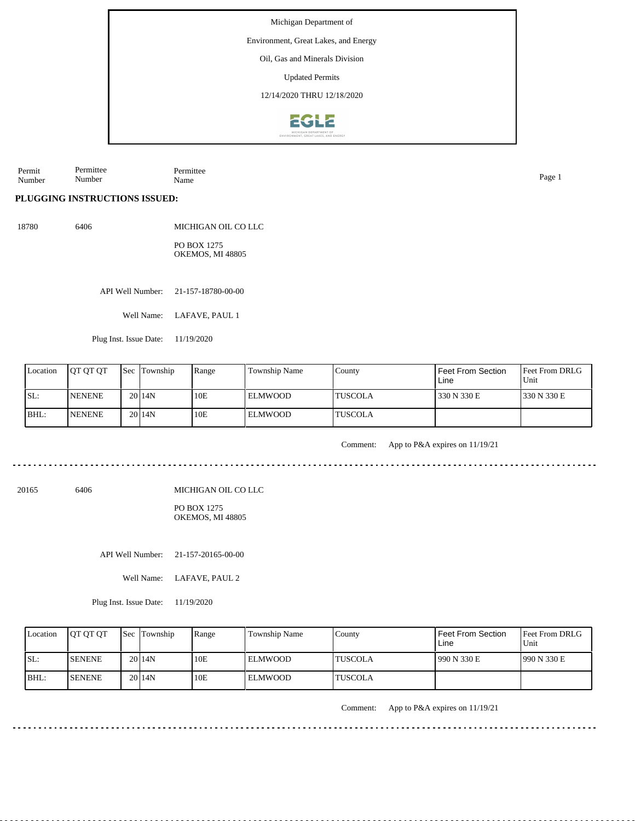Environment, Great Lakes, and Energy

Oil, Gas and Minerals Division

Updated Permits

12/14/2020 THRU 12/18/2020



Permit Number Permittee Number Permittee Name Page 1

**PLUGGING INSTRUCTIONS ISSUED:**

18780 6406

MICHIGAN OIL CO LLC PO BOX 1275 OKEMOS, MI 48805

API Well Number: 21-157-18780-00-00

Well Name: LAFAVE, PAUL 1

Plug Inst. Issue Date: 11/19/2020

| Location | <b>IOT OT OT</b> | <b>Sec Township</b> | Range | Township Name  | County          | Feet From Section<br>Line | <b>Feet From DRLG</b><br>Unit |
|----------|------------------|---------------------|-------|----------------|-----------------|---------------------------|-------------------------------|
| SL:      | <b>NENENE</b>    | 2014N               | 10E   | <b>ELMWOOD</b> | <b>ITUSCOLA</b> | 330 N 330 E               | 330 N 330 E                   |
| BHL:     | <b>NENENE</b>    | 20 <sub>14</sub> N  | 10E   | <b>ELMWOOD</b> | <b>ITUSCOLA</b> |                           |                               |

Comment: App to P&A expires on 11/19/21

20165 6406

MICHIGAN OIL CO LLC

#### PO BOX 1275 OKEMOS, MI 48805

API Well Number: 21-157-20165-00-00

Well Name: LAFAVE, PAUL 2

Plug Inst. Issue Date: 11/19/2020

| Location | <b>IOT OT OT</b> | <b>Sec Township</b> | Range | Township Name  | County          | <b>Feet From Section</b><br>Line | Feet From DRLG<br>Unit |
|----------|------------------|---------------------|-------|----------------|-----------------|----------------------------------|------------------------|
| ISL:     | <b>ISENENE</b>   | 20 <sub>14N</sub>   | 10E   | <b>ELMWOOD</b> | <b>'TUSCOLA</b> | 1990 N 330 E                     | 1990 N 330 E           |
| $IBHL$ : | <b>ISENENE</b>   | 20 <sub>14</sub> N  | 10E   | <b>ELMWOOD</b> | <b>'TUSCOLA</b> |                                  |                        |

Comment: App to P&A expires on 11/19/21

<u>. . . . . . . . .</u>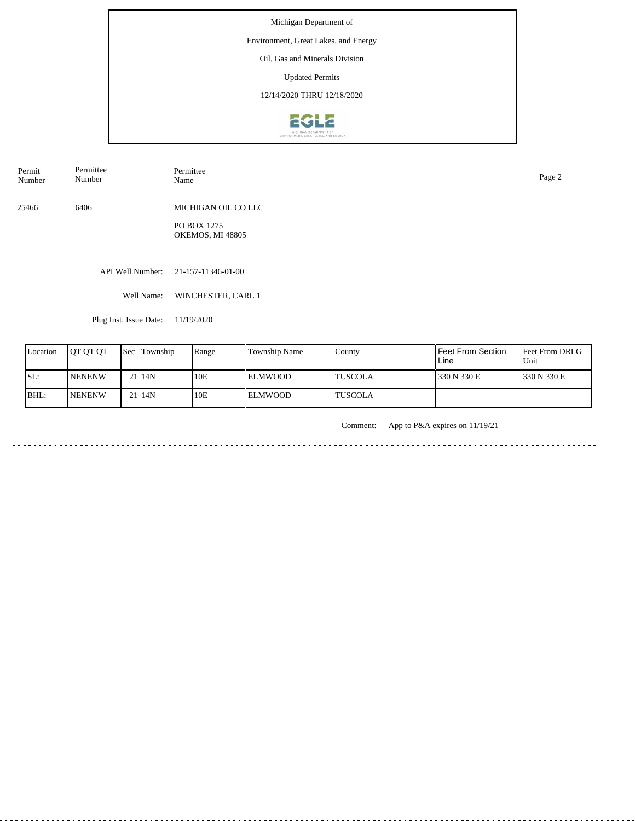# Environment, Great Lakes, and Energy

Oil, Gas and Minerals Division

Updated Permits

12/14/2020 THRU 12/18/2020



Permit Number Permittee Number

Permittee<br>Name Name Page 2

25466 6406 MICHIGAN OIL CO LLC

> PO BOX 1275 OKEMOS, MI 48805

API Well Number: 21-157-11346-01-00

Well Name: WINCHESTER, CARL 1

Plug Inst. Issue Date: 11/19/2020

| Location | <b>IOT OT OT</b> | <b>Sec Township</b> | Range | Township Name | County   | Feet From Section<br>Line | <b>IFeet From DRLG</b><br>Unit |
|----------|------------------|---------------------|-------|---------------|----------|---------------------------|--------------------------------|
| SL:      | <b>NENENW</b>    | 2114N               | 10E   | l ELMWOOD     | ITUSCOLA | 330 N 330 E               | 1330 N 330 E                   |
| BHL:     | <b>NENENW</b>    | 2114N               | 10E   | l el mwood-   | ITUSCOLA |                           |                                |

Comment: App to P&A expires on 11/19/21

 $- - - - - - \sim$   $\sim$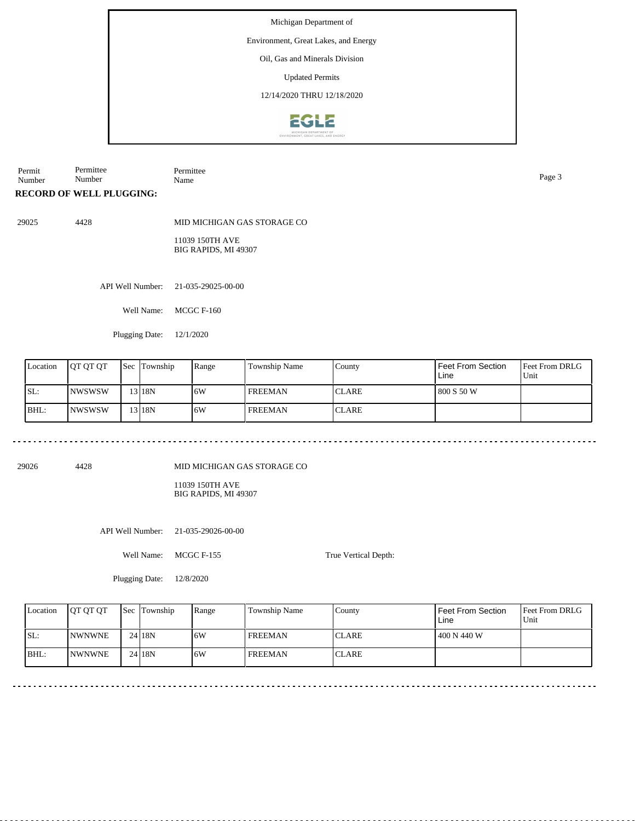## Environment, Great Lakes, and Energy

Oil, Gas and Minerals Division

Updated Permits

12/14/2020 THRU 12/18/2020



Permit Number Permittee Number Permittee Name Page 3

**RECORD OF WELL PLUGGING:**

29025 4428

MID MICHIGAN GAS STORAGE CO

11039 150TH AVE BIG RAPIDS, MI 49307

API Well Number: 21-035-29025-00-00

Well Name: MCGC F-160

Plugging Date: 12/1/2020

| Location | <b>JOT OT OT</b> | <b>Sec Township</b> | Range | <b>Township Name</b> | County        | Feet From Section<br>Line | Feet From DRLG<br>Unit |
|----------|------------------|---------------------|-------|----------------------|---------------|---------------------------|------------------------|
| SL:      | <b>INWSWSW</b>   | 13 18N              | 16W   | <b>FREEMAN</b>       | <b>ICLARE</b> | 800 S 50 W                |                        |
| BHL:     | <b>INWSWSW</b>   | !3 I 18N            | 16W   | <b>FREEMAN</b>       | <b>ICLARE</b> |                           |                        |

29026 4428

MID MICHIGAN GAS STORAGE CO

11039 150TH AVE BIG RAPIDS, MI 49307

API Well Number: 21-035-29026-00-00

Well Name: MCGC F-155

True Vertical Depth:

Plugging Date: 12/8/2020

| Location | <b>IOT OT OT</b> | <b>Sec</b> Township | Range | Township Name  | County       | Feet From Section<br>Line | Feet From DRLG<br>Unit |
|----------|------------------|---------------------|-------|----------------|--------------|---------------------------|------------------------|
| ISL:     | <b>INWNWNE</b>   | $24$ 18N            | ا 6W  | <b>FREEMAN</b> | <b>CLARE</b> | 400 N 440 W               |                        |
| BHL:     | <b>INWNWNE</b>   | $24$ 18N            | ا 6W  | <b>FREEMAN</b> | <b>CLARE</b> |                           |                        |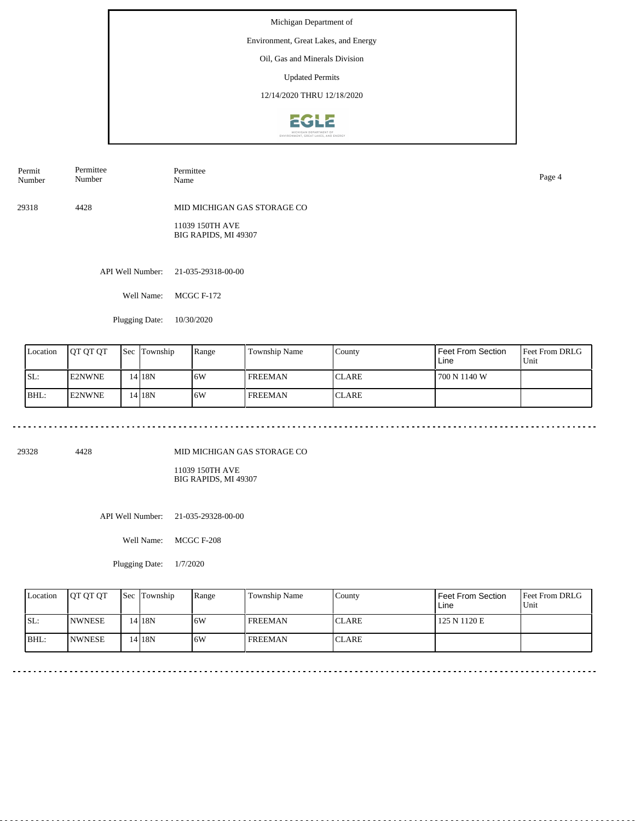## Environment, Great Lakes, and Energy

Oil, Gas and Minerals Division

Updated Permits

12/14/2020 THRU 12/18/2020



| Permit<br>Number | Permittee<br>Number | Permittee<br>Name                       | Page 4 |
|------------------|---------------------|-----------------------------------------|--------|
| 29318            | 4428                | MID MICHIGAN GAS STORAGE CO             |        |
|                  |                     | 11039 150TH AVE<br>BIG RAPIDS, MI 49307 |        |
|                  |                     | API Well Number: 21-035-29318-00-00     |        |

Well Name: MCGC F-172

Plugging Date: 10/30/2020

| Location | <b>IOT OT OT</b> | <b>Sec Township</b> | Range | Township Name  | County        | Feet From Section<br>Line | <b>Feet From DRLG</b><br>Unit |
|----------|------------------|---------------------|-------|----------------|---------------|---------------------------|-------------------------------|
| SL:      | <b>E2NWNE</b>    | 14 I 18 N           | 16W   | I FREEMAN      | <b>ICLARE</b> | 700 N 1140 W              |                               |
| BHL:     | <b>IE2NWNE</b>   | 14 I 18 N           | 16W   | <b>FREEMAN</b> | <b>CLARE</b>  |                           |                               |

<u>. . . . . . . . . . . . . . .</u>

29328 4428

MID MICHIGAN GAS STORAGE CO

11039 150TH AVE BIG RAPIDS, MI 49307

API Well Number: 21-035-29328-00-00

Well Name: MCGC F-208

Plugging Date: 1/7/2020

| Location | <b>OT OT OT</b> | <b>Sec Township</b> | Range | Township Name  | County        | Feet From Section<br>Line | <b>Feet From DRLG</b><br>Unit |
|----------|-----------------|---------------------|-------|----------------|---------------|---------------------------|-------------------------------|
| SL:      | <b>INWNESE</b>  | 14 18N              | .6W   | <b>FREEMAN</b> | <b>ICLARE</b> | 125 N 1120 E              |                               |
| IBHL:    | <b>INWNESE</b>  | 14 18N              | .6W   | <b>FREEMAN</b> | <b>ICLARE</b> |                           |                               |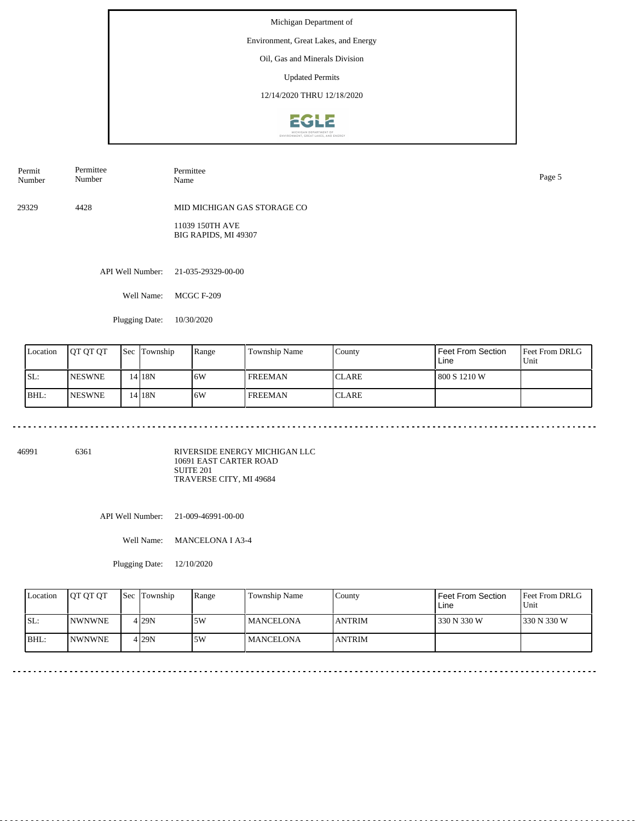## Environment, Great Lakes, and Energy

Oil, Gas and Minerals Division

Updated Permits

12/14/2020 THRU 12/18/2020



| Permit<br>Number | Permittee<br>Number | Permittee<br>Name                       | Page 5 |
|------------------|---------------------|-----------------------------------------|--------|
| 29329            | 4428                | MID MICHIGAN GAS STORAGE CO             |        |
|                  |                     | 11039 150TH AVE<br>BIG RAPIDS, MI 49307 |        |
|                  | API Well Number:    | 21-035-29329-00-00                      |        |

Well Name: MCGC F-209

Plugging Date: 10/30/2020

| Location | <b>JOT OT OT</b> | <b>Sec</b> | Township          | Range | Township Name  | County       | Feet From Section<br>Line | <b>Feet From DRLG</b><br>Unit |
|----------|------------------|------------|-------------------|-------|----------------|--------------|---------------------------|-------------------------------|
| ISL:     | <b>INESWNE</b>   |            | 14 <sub>18N</sub> | 16W   | l FREEMAN      | <b>CLARE</b> | 800 S 1210 W              |                               |
| BHL:     | <b>INESWNE</b>   |            | 14 <sub>18N</sub> | 16W   | <b>FREEMAN</b> | <b>CLARE</b> |                           |                               |

46991 6361

RIVERSIDE ENERGY MICHIGAN LLC 10691 EAST CARTER ROAD SUITE 201 TRAVERSE CITY, MI 49684

API Well Number: 21-009-46991-00-00

Well Name: MANCELONA I A3-4

Plugging Date: 12/10/2020

| Location | <b>OT OT OT</b> | <b>Sec Township</b> | Range | <b>Township Name</b> | Countv        | Feet From Section<br>Line | <b>Feet From DRLG</b><br>Unit |
|----------|-----------------|---------------------|-------|----------------------|---------------|---------------------------|-------------------------------|
| ISL:     | <b>INWNWNE</b>  | 4 29N               | .5W   | <b>MANCELONA</b>     | <b>ANTRIM</b> | 330 N 330 W               | 1330 N 330 W                  |
| BHL:     | <b>INWNWNE</b>  | 4 29N               | .5W   | <b>MANCELONA</b>     | <b>ANTRIM</b> |                           |                               |

<u>. . . . . . . . . . . . .</u>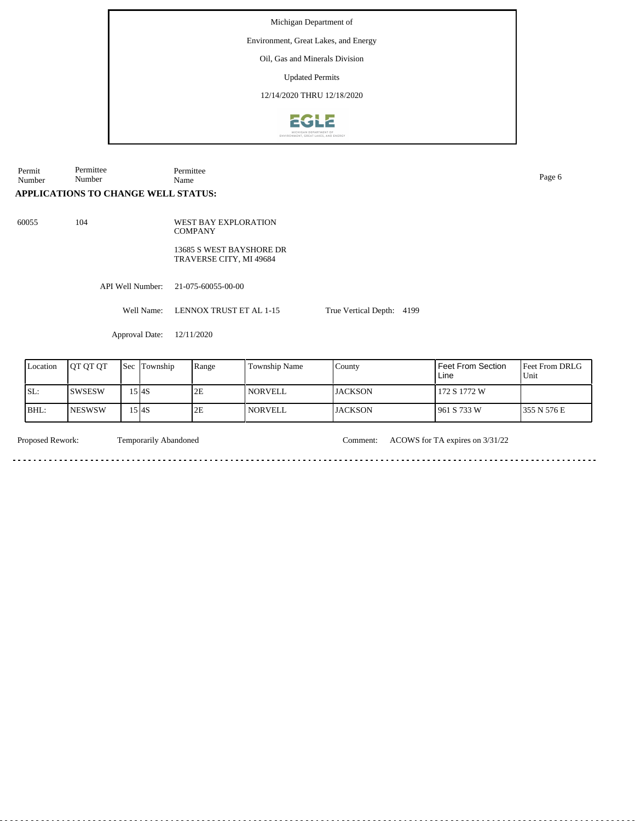Environment, Great Lakes, and Energy

Oil, Gas and Minerals Division

Updated Permits

12/14/2020 THRU 12/18/2020



Permit Number Permittee Number

Permittee Name Page 6

# **APPLICATIONS TO CHANGE WELL STATUS:**

60055 104

**COMPANY** 13685 S WEST BAYSHORE DR TRAVERSE CITY, MI 49684

WEST BAY EXPLORATION

API Well Number: 21-075-60055-00-00

Well Name: LENNOX TRUST ET AL 1-15

Approval Date: 12/11/2020

| Location | <b>IOT OT OT</b> | l Sec | Township | Range | Township Name  | County         | <b>Feet From Section</b><br>Line | <b>Feet From DRLG</b><br>Unit |
|----------|------------------|-------|----------|-------|----------------|----------------|----------------------------------|-------------------------------|
| ISL:     | <b>SWSESW</b>    |       | .5 I4S   | 2E    | <b>NORVELL</b> | <b>JACKSON</b> | 172 S 1772 W                     |                               |
| BHL:     | <b>NESWSW</b>    |       | .5 I4S   | 2E    | NORVELL        | <b>JACKSON</b> | 961 S 733 W                      | 355 N 576 E                   |

<u>. . . . . .</u>

<u>. . . . . . . .</u>

Temporarily Abandoned

Proposed Rework: Temporarily Abandoned Comment: ACOWS for TA expires on  $3/31/22$ 

True Vertical Depth: 4199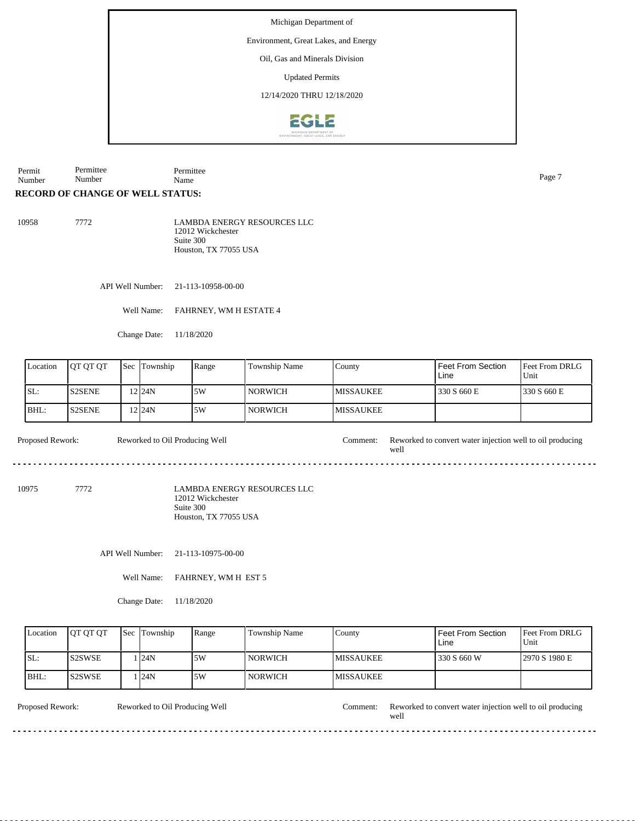# Environment, Great Lakes, and Energy

Oil, Gas and Minerals Division

Updated Permits

12/14/2020 THRU 12/18/2020



Permit Number Permittee Number Permittee Name Page 7

# **RECORD OF CHANGE OF WELL STATUS:**

| 10958 | 7772 | <b>LAMBDA ENERGY RESOURCES LLC</b> |
|-------|------|------------------------------------|
|       |      | 12012 Wickchester                  |
|       |      | Suite 300                          |
|       |      | Houston, TX 77055 USA              |

API Well Number: 21-113-10958-00-00

Well Name: FAHRNEY, WM H ESTATE 4

Change Date: 11/18/2020

| Location | <b>IOT OT OT</b> | l Sec | Township | Range | <b>Township Name</b> | County            | Feet From Section<br>Line | <b>IFeet From DRLG</b><br>Unit |
|----------|------------------|-------|----------|-------|----------------------|-------------------|---------------------------|--------------------------------|
| SL:      | <b>S2SENE</b>    |       | 2124N    | 5W    | l NORWICH            | <b>IMISSAUKEE</b> | 330 S 660 E               | 330 S 660 E                    |
| BHL:     | IS2SENE.         |       | 12 I24N  | 5W    | l NORWICH            | <b>IMISSAUKEE</b> |                           |                                |

Proposed Rework: Reworked to Oil Producing Well Comment: Reworked to convert water injection well to oil producing well Reworked to Oil Producing Well

10975 7772

LAMBDA ENERGY RESOURCES LLC 12012 Wickchester Suite 300 Houston, TX 77055 USA

API Well Number: 21-113-10975-00-00

Well Name: FAHRNEY, WM H EST 5

Change Date: 11/18/2020

|      | Location | <b>OT OT OT</b> | <b>Sec Township</b> | Range | Township Name  | County            | <b>Feet From Section</b><br>Line | Feet From DRLG<br>Unit |
|------|----------|-----------------|---------------------|-------|----------------|-------------------|----------------------------------|------------------------|
| ISL: |          | <b>S2SWSE</b>   | l <b>1</b> 24N      | .5W   | <b>NORWICH</b> | <b>IMISSAUKEE</b> | 330 S 660 W                      | 12970 S 1980 E         |
| BHL: |          | IS2SWSE         | l <b>1</b> 24N      | 5W    | <b>NORWICH</b> | <b>MISSAUKEE</b>  |                                  |                        |

| Proposed<br>:Rework | Reworked to Oil Producing Well | Comment: | Reworked to convert water injection well to oil producing |
|---------------------|--------------------------------|----------|-----------------------------------------------------------|
|                     |                                |          | weli                                                      |
| -----               |                                |          | -----                                                     |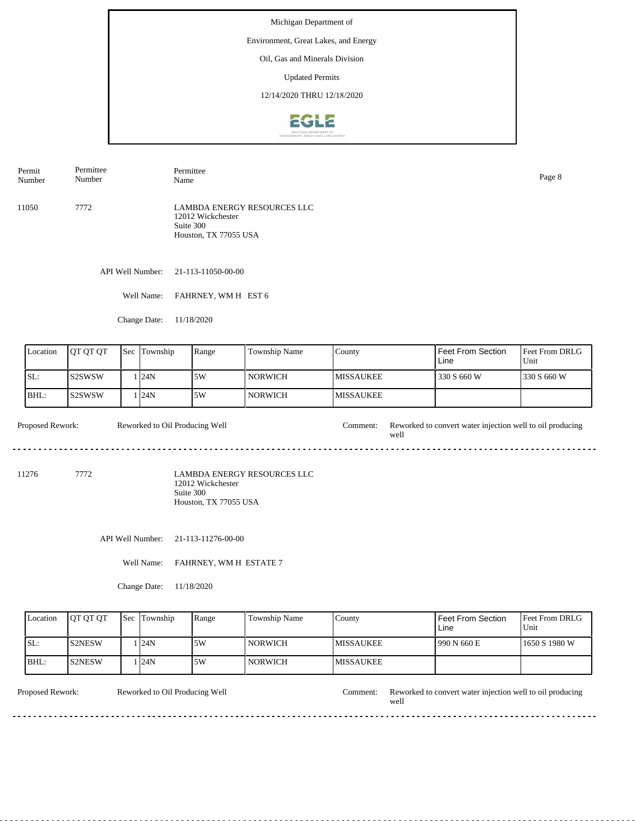## Environment, Great Lakes, and Energy

Oil, Gas and Minerals Division

Updated Permits

12/14/2020 THRU 12/18/2020



11050 7772 LAMBDA ENERGY RESOURCES LLC 12012 Wickchester Suite 300 Houston, TX 77055 USA Permit Number Permittee Number Permittee Name Page 8

API Well Number: 21-113-11050-00-00

Well Name: FAHRNEY, WM H EST 6

Change Date: 11/18/2020

| Location | <b>JOT OT OT</b> | <b>Sec</b> | Township | Range | <b>Township Name</b> | County            | Feet From Section<br>Line | <b>Feet From DRLG</b><br>Unit |
|----------|------------------|------------|----------|-------|----------------------|-------------------|---------------------------|-------------------------------|
| SL:      | IS2SWSW          |            | 124N     | 5W    | NORWICH <b>N</b>     | <b>IMISSAUKEE</b> | 330 S 660 W               | 1330 S 660 W                  |
| IBHL:    | IS2SWSW          |            | 124N     | 5W    | <b>NORWICH</b>       | <b>IMISSAUKEE</b> |                           |                               |

Proposed Rework: Reworked to Oil Producing Well Comment: Reworked to convert water injection well to oil producing Reworked to Oil Producing Well well ----------------------------a a 

11276 7772

LAMBDA ENERGY RESOURCES LLC 12012 Wickchester Suite 300 Houston, TX 77055 USA

API Well Number: 21-113-11276-00-00

Well Name: FAHRNEY, WM H ESTATE 7

Change Date: 11/18/2020

| Location | <b>IOT OT OT</b> | <b>Sec Township</b> | Range | Township Name  | County            | Feet From Section<br>Line | <b>IFeet From DRLG</b><br>Unit |
|----------|------------------|---------------------|-------|----------------|-------------------|---------------------------|--------------------------------|
| ISL:     | <b>S2NESW</b>    | . I24N              | .5W   | <b>NORWICH</b> | <b>IMISSAUKEE</b> | 1990 N 660 E              | 1650 S 1980 W                  |
| BHL:     | <b>S2NESW</b>    | . I24N              | .5W   | <b>NORWICH</b> | <b>IMISSAUKEE</b> |                           |                                |

Reworked to Oil Producing Well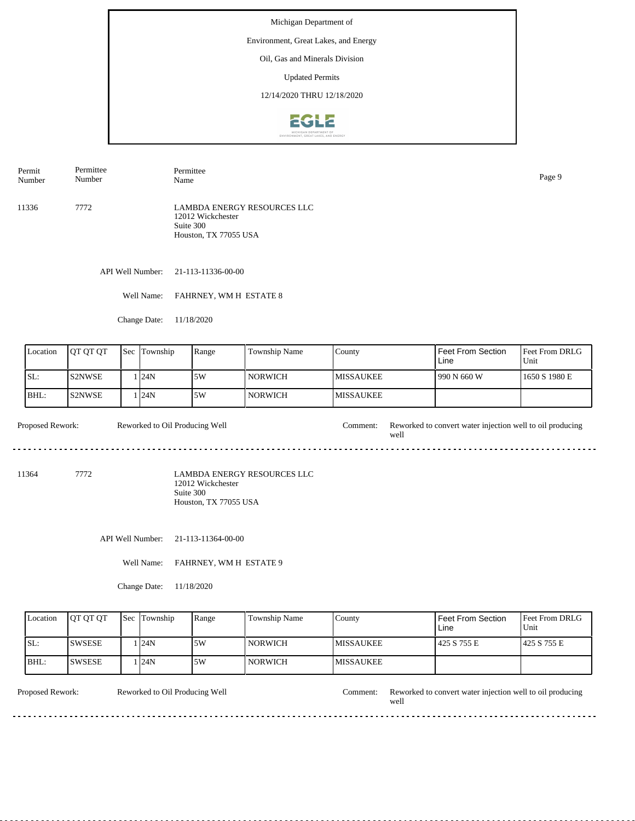## Environment, Great Lakes, and Energy

Oil, Gas and Minerals Division

Updated Permits

12/14/2020 THRU 12/18/2020



11336 7772 LAMBDA ENERGY RESOURCES LLC 12012 Wickchester Suite 300 Houston, TX 77055 USA Permit Number Permittee Number Permittee Name Page 9

API Well Number: 21-113-11336-00-00

Well Name: FAHRNEY, WM H ESTATE 8

Change Date: 11/18/2020

| Location | <b>JOT OT OT</b> | 'Sec | Township | Range | <b>Township Name</b> | County            | Feet From Section<br>Line | <b>Feet From DRLG</b><br>Unit |
|----------|------------------|------|----------|-------|----------------------|-------------------|---------------------------|-------------------------------|
| SL:      | IS2NWSE          |      | 124N     | 5W    | NORWICH <b>N</b>     | <b>IMISSAUKEE</b> | 1990 N 660 W              | 1650 S 1980 E                 |
| IBHL:    | IS2NWSE          |      | 124N     | 5W    | <b>NORWICH</b>       | <b>IMISSAUKEE</b> |                           |                               |

Proposed Rework: Reworked to Oil Producing Well Comment: Reworked to convert water injection well to oil producing Reworked to Oil Producing Well well ----------------------------a a 

11364 7772

LAMBDA ENERGY RESOURCES LLC 12012 Wickchester Suite 300 Houston, TX 77055 USA

API Well Number: 21-113-11364-00-00

Well Name: FAHRNEY, WM H ESTATE 9

Change Date: 11/18/2020

| Location | <b>IOT OT OT</b> | <b>Sec Township</b> | Range | Township Name  | County            | Feet From Section<br>Line | <b>IFeet From DRLG</b><br>Unit |
|----------|------------------|---------------------|-------|----------------|-------------------|---------------------------|--------------------------------|
| ISL:     | <b>SWSESE</b>    | . I24N              | .5W   | <b>NORWICH</b> | <b>IMISSAUKEE</b> | 425 S 755 E               | 1425 S 755 E                   |
| BHL:     | <b>SWSESE</b>    | . I24N              | .5W   | <b>NORWICH</b> | <b>IMISSAUKEE</b> |                           |                                |

Reworked to Oil Producing Well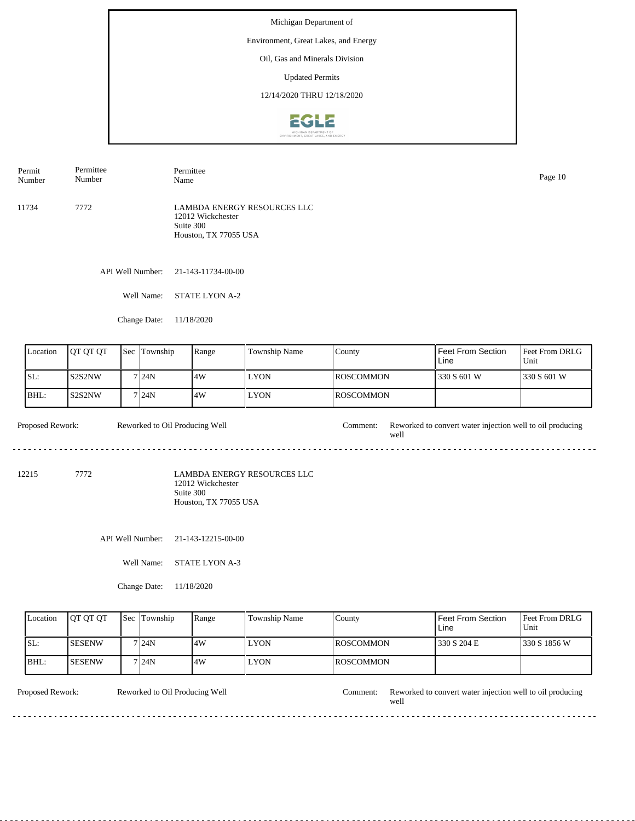## Environment, Great Lakes, and Energy

Oil, Gas and Minerals Division

Updated Permits

12/14/2020 THRU 12/18/2020



11734 7772 LAMBDA ENERGY RESOURCES LLC 12012 Wickchester Suite 300 Houston, TX 77055 USA Permit Number Permittee Number Permittee Name Page 10

API Well Number: 21-143-11734-00-00

Well Name: STATE LYON A-2

Change Date: 11/18/2020

| Location | <b>JOT OT OT</b> | $\text{Sec}$ | Township | Range | <b>Township Name</b> | County            | Feet From Section<br>Line | <b>Feet From DRLG</b><br>Unit |
|----------|------------------|--------------|----------|-------|----------------------|-------------------|---------------------------|-------------------------------|
| SL:      | IS2S2NW          |              | 7124N    | 4W    | <b>LYON</b>          | <b>IROSCOMMON</b> | 330 S 601 W               | 1330 S 601 W                  |
| IBHL:    | IS2S2NW          |              | 7124N    | 14W   | <b>LYON</b>          | <b>IROSCOMMON</b> |                           |                               |

Proposed Rework: Reworked to Oil Producing Well Comment: Reworked to convert water injection well to oil producing Reworked to Oil Producing Well well .................................. 

12215 7772

LAMBDA ENERGY RESOURCES LLC 12012 Wickchester Suite 300 Houston, TX 77055 USA

API Well Number: 21-143-12215-00-00

Well Name: STATE LYON A-3

Change Date: 11/18/2020

| Location | <b>IOT OT OT</b> | <b>Sec Township</b> | Range | Township Name | County            | <b>Feet From Section</b><br>Line | <b>Feet From DRLG</b><br>Unit |
|----------|------------------|---------------------|-------|---------------|-------------------|----------------------------------|-------------------------------|
| ISL:     | <b>SESENW</b>    | 7 I 24 N            | 4W    | <b>LYON</b>   | <b>IROSCOMMON</b> | 330 S 204 E                      | 1330 S 1856 W                 |
| BHL:     | <b>SESENW</b>    | 7124N               | .4W   | <b>LYON</b>   | <b>IROSCOMMON</b> |                                  |                               |

Reworked to Oil Producing Well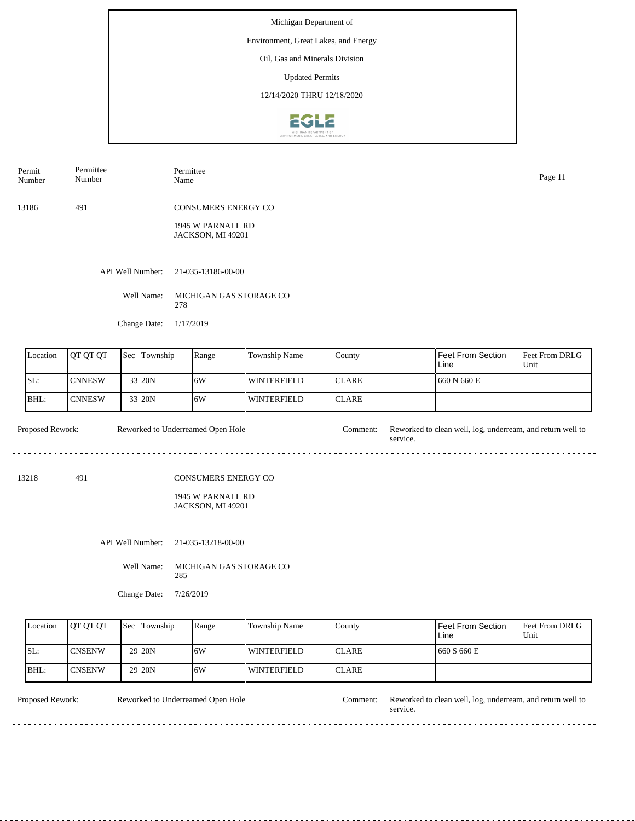Environment, Great Lakes, and Energy

Oil, Gas and Minerals Division

Updated Permits

12/14/2020 THRU 12/18/2020



| Permit<br>Number | Permittee<br>Number | Permittee<br>Name                      | Page 11 |
|------------------|---------------------|----------------------------------------|---------|
| 13186            | 491                 | <b>CONSUMERS ENERGY CO</b>             |         |
|                  |                     | 1945 W PARNALL RD<br>JACKSON, MI 49201 |         |
|                  |                     |                                        |         |
|                  | API Well Number:    | 21-035-13186-00-00                     |         |
|                  | Well Name:          | MICHIGAN GAS STORAGE CO<br>278         |         |
|                  | Change Date:        | 1/17/2019                              |         |
|                  |                     |                                        |         |

| Location | IOT OT OT     | <b>Sec Township</b> | Range | Township Name      | County        | l Feet From Section<br>Line | <b>Feet From DRLG</b><br>Unit |
|----------|---------------|---------------------|-------|--------------------|---------------|-----------------------------|-------------------------------|
| SL:      | <b>CNNESW</b> | 33 20N              | 16W   | <b>WINTERFIELD</b> | <b>ICLARE</b> | 1660 N 660 E                |                               |
| BHL:     | <b>CNNESW</b> | 33 20N              | 16W   | <b>WINTERFIELD</b> | <b>ICLARE</b> |                             |                               |

Proposed Rework: Reworked to Underreamed Open Hole Comment: Reworked to clean well, log, underream, and return well to Reworked to Underreamed Open Hole service.  $- - -$ 

13218 491

## CONSUMERS ENERGY CO

1945 W PARNALL RD JACKSON, MI 49201

API Well Number: 21-035-13218-00-00

Well Name: MICHIGAN GAS STORAGE CO 285

Change Date: 7/26/2019

| Location | <b>IOT OT OT</b> | <b>Sec Township</b> | Range | Township Name      | County        | Feet From Section<br>Line | <b>Feet From DRLG</b><br>Unit |
|----------|------------------|---------------------|-------|--------------------|---------------|---------------------------|-------------------------------|
| SL:      | <b>CNSENW</b>    | 29 <sub>120</sub> N | 16W   | <b>WINTERFIELD</b> | <b>ICLARE</b> | 660 S 660 E               |                               |
| BHL:     | <b>CNSENW</b>    | 29 <sub>20N</sub>   | 16W   | l winterfield      | <b>ICLARE</b> |                           |                               |

<u>. . . . . . . . . . .</u>

Reworked to Underreamed Open Hole

de de dec

Proposed Rework: Reworked to Underreamed Open Hole Comment: Reworked to clean well, log, underream, and return well to service.

 $\overline{a}$  .  $\overline{a}$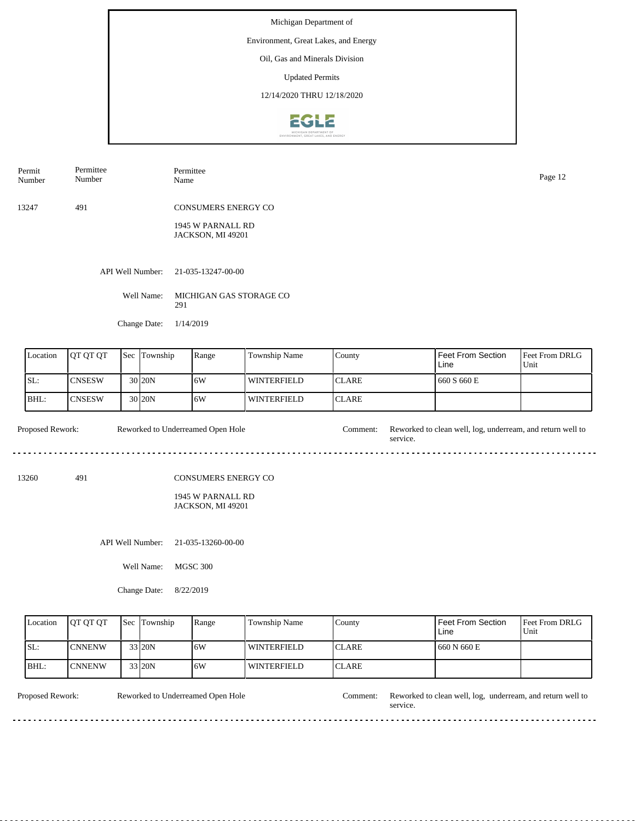Environment, Great Lakes, and Energy

Oil, Gas and Minerals Division

Updated Permits

12/14/2020 THRU 12/18/2020



| Permit<br>Number                               | Permittee<br>Number |     | Name     | Permittee                              |                    |              |                           | Page 12                |  |  |
|------------------------------------------------|---------------------|-----|----------|----------------------------------------|--------------------|--------------|---------------------------|------------------------|--|--|
| 13247                                          | 491                 |     |          | <b>CONSUMERS ENERGY CO</b>             |                    |              |                           |                        |  |  |
| API Well Number:<br>Well Name:<br>Change Date: |                     |     |          | 1945 W PARNALL RD<br>JACKSON, MI 49201 |                    |              |                           |                        |  |  |
|                                                |                     |     |          | 21-035-13247-00-00                     |                    |              |                           |                        |  |  |
|                                                |                     |     |          | MICHIGAN GAS STORAGE CO<br>291         |                    |              |                           |                        |  |  |
|                                                |                     |     |          | 1/14/2019                              |                    |              |                           |                        |  |  |
| Location                                       | QT QT QT            | Sec | Township | Range                                  | Township Name      | County       | Feet From Section<br>Line | Feet From DRLG<br>Unit |  |  |
| SL:                                            | <b>CNSESW</b>       |     | 30 20N   | 6W                                     | <b>WINTERFIELD</b> | <b>CLARE</b> | 660 S 660 E               |                        |  |  |

**WINTERFIELD** 

Reworked to Underreamed Open Hole Proposed Rework: Reworked to Underreamed Open Hole Comment: Reworked to clean well, log, underream, and return well to service. . . . .

CLARE

13260 491

BHL:

**CNSESW** 

## CONSUMERS ENERGY CO

1945 W PARNALL RD JACKSON, MI 49201

API Well Number: 21-035-13260-00-00

30 20N 6W

Well Name: MGSC 300

Change Date: 8/22/2019

| Location | <b>IOT OT OT</b> | <b>Sec</b> | Township | Range | Township Name | County        | Feet From Section<br>Line | <b>Feet From DRLG</b><br>Unit |
|----------|------------------|------------|----------|-------|---------------|---------------|---------------------------|-------------------------------|
| SL:      | <b>CNNENW</b>    |            | 33 20N   | 16W   | l winterfield | <b>ICLARE</b> | 660 N 660 E               |                               |
| BHL:     | <b>CNNENW</b>    |            | $33$ 20N | ا 6W  | l winterfield | <b>ICLARE</b> |                           |                               |

Reworked to Underreamed Open Hole

Proposed Rework: Reworked to Underreamed Open Hole Comment: Reworked to clean well, log, underream, and return well to service.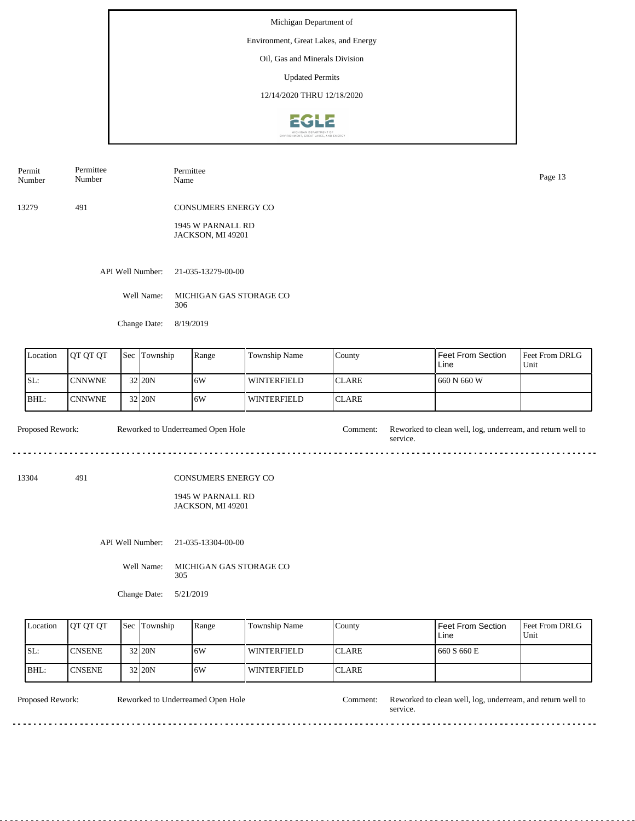Environment, Great Lakes, and Energy

Oil, Gas and Minerals Division

Updated Permits

12/14/2020 THRU 12/18/2020



| Permit<br>Number | Permittee<br>Number | Permittee<br>Name                      | Page 13 |
|------------------|---------------------|----------------------------------------|---------|
| 13279            | 491                 | CONSUMERS ENERGY CO                    |         |
|                  |                     | 1945 W PARNALL RD<br>JACKSON, MI 49201 |         |
|                  | API Well Number:    | 21-035-13279-00-00                     |         |
|                  | Well Name:          | MICHIGAN GAS STORAGE CO<br>306         |         |
|                  | Change Date:        | 8/19/2019                              |         |
|                  |                     |                                        |         |

| Location | <b>IOT OT OT</b> | 'Sec | Township            | Range | <b>Township Name</b> | County        | Feet From Section<br>Line | <b>Feet From DRLG</b><br>Unit |
|----------|------------------|------|---------------------|-------|----------------------|---------------|---------------------------|-------------------------------|
| ISL:     | 'CNNWNE          |      | 32 <sub>120</sub> N | 16W   | <b>WINTERFIELD</b>   | <b>ICLARE</b> | 660 N 660 W               |                               |
| BHL:     | <b>CNNWNE</b>    |      | $32$ <sub>20N</sub> | 16W   | WINTERFIELD          | <b>CLARE</b>  |                           |                               |

Proposed Rework: Reworked to Underreamed Open Hole Comment: Reworked to clean well, log, underream, and return well to Reworked to Underreamed Open Hole service. . . . .

13304 491

## CONSUMERS ENERGY CO

1945 W PARNALL RD JACKSON, MI 49201

API Well Number: 21-035-13304-00-00

Well Name: MICHIGAN GAS STORAGE CO 305

Change Date: 5/21/2019

| Location | <b>OT OT OT</b> | <b>Sec Township</b> | Range | Township Name      | County        | Feet From Section<br>Line | <b>Feet From DRLG</b><br>Unit |
|----------|-----------------|---------------------|-------|--------------------|---------------|---------------------------|-------------------------------|
| SL:      | <b>CNSENE</b>   | 32 20N              | 16W   | <b>WINTERFIELD</b> | <b>ICLARE</b> | 660 S 660 E               |                               |
| BHL:     | <b>ICNSENE</b>  | 32 20N              | 16W   | l winterfield      | <b>ICLARE</b> |                           |                               |

Reworked to Underreamed Open Hole

de de dec

Proposed Rework: Reworked to Underreamed Open Hole Comment: Reworked to clean well, log, underream, and return well to service.

 $\overline{a}$  .  $\overline{a}$ 

. . .  $\frac{1}{2}$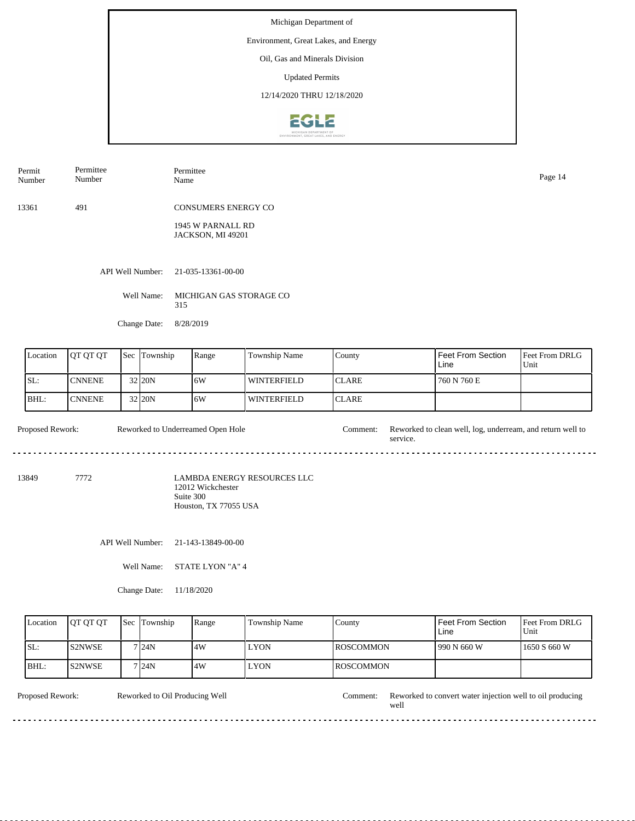Environment, Great Lakes, and Energy

Oil, Gas and Minerals Division

Updated Permits

12/14/2020 THRU 12/18/2020



| Permit<br>Number      | Permittee<br>Number                                                  | Permittee<br>Name                      |               |                   |                          | Page 14     |
|-----------------------|----------------------------------------------------------------------|----------------------------------------|---------------|-------------------|--------------------------|-------------|
|                       |                                                                      |                                        |               |                   |                          |             |
| 13361                 | 491                                                                  | <b>CONSUMERS ENERGY CO</b>             |               |                   |                          |             |
|                       |                                                                      | 1945 W PARNALL RD<br>JACKSON, MI 49201 |               |                   |                          |             |
|                       | API Well Number:                                                     | 21-035-13361-00-00                     |               |                   |                          |             |
|                       | Well Name:                                                           | MICHIGAN GAS STORAGE CO<br>315         |               |                   |                          |             |
|                       | Change Date:                                                         | 8/28/2019                              |               |                   |                          |             |
|                       |                                                                      |                                        |               |                   |                          |             |
| $\mathsf{I}$ Location | $\epsilon$ $\epsilon$ $\epsilon$ $\epsilon$ $\epsilon$<br>$10L$ $0L$ | $P$ ange                               | Township Name | $C_{\text{0.00}}$ | <b>Feet From Section</b> | Eeet From D |

| Location | <b>IOT OT OT</b> | <b>Sec</b> Township | Range | <b>Township Name</b> | Countv        | Feet From Section<br>Line | <b>Feet From DRLG</b><br>Unit |
|----------|------------------|---------------------|-------|----------------------|---------------|---------------------------|-------------------------------|
| ISL:     | <b>CNNENE</b>    | 32 20N              | 16W   | <b>WINTERFIELD</b>   | ICLARE        | 760 N 760 E               |                               |
| $IBHL$ : | <b>CNNENE</b>    | 32 20N              | 16W   | <b>WINTERFIELD</b>   | <b>ICLARE</b> |                           |                               |

Proposed Rework: Reworked to Underreamed Open Hole Comment: Reworked to clean well, log, underream, and return well to service. Reworked to Underreamed Open Hole

13849 7772

LAMBDA ENERGY RESOURCES LLC 12012 Wickchester Suite 300 Houston, TX 77055 USA

API Well Number: 21-143-13849-00-00

Well Name: STATE LYON "A" 4

Change Date: 11/18/2020

| Location | <b>IOT OT OT</b> | l Sec | Township | Range | Township Name | County            | Feet From Section<br>Line | <b>Feet From DRLG</b><br>Unit |
|----------|------------------|-------|----------|-------|---------------|-------------------|---------------------------|-------------------------------|
| SL:      | <b>S2NWSE</b>    |       | 7 24N    | 4W    | <b>LYON</b>   | <b>IROSCOMMON</b> | 990 N 660 W               | 1650 S 660 W                  |
| BHL:     | <b>S2NWSE</b>    |       | 7 24N    | .4W   | <b>LYON</b>   | <b>IROSCOMMON</b> |                           |                               |

Reworked to Oil Producing Well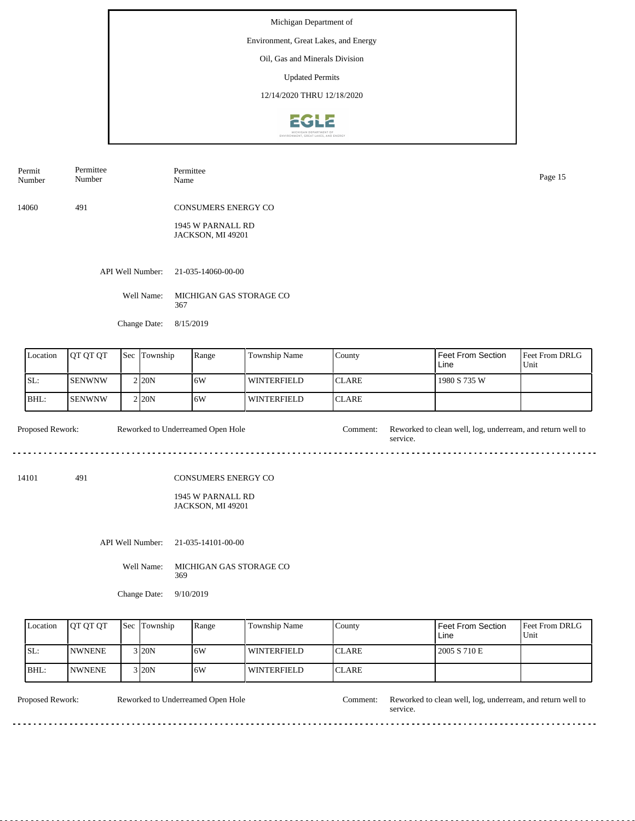Environment, Great Lakes, and Energy

Oil, Gas and Minerals Division

Updated Permits

12/14/2020 THRU 12/18/2020



| Permit<br>Number | Permittee<br>Number | Permittee<br>Name                      | Page 15 |
|------------------|---------------------|----------------------------------------|---------|
| 14060            | 491                 | <b>CONSUMERS ENERGY CO</b>             |         |
|                  |                     | 1945 W PARNALL RD<br>JACKSON, MI 49201 |         |
|                  | API Well Number:    | 21-035-14060-00-00                     |         |
|                  | Well Name:          | MICHIGAN GAS STORAGE CO<br>367         |         |
|                  | Change Date:        | 8/15/2019                              |         |
|                  |                     |                                        |         |

| Location | <b>IOT OT OT</b> | <b>Sec Township</b> | Range | Township Name | <b>County</b> | Feet From Section<br>Line | Feet From DRLG<br>Unit |
|----------|------------------|---------------------|-------|---------------|---------------|---------------------------|------------------------|
| ISL:     | ISENWNW          | 2120N               | 16W   | WINTERFIELD   | <b>ICLARE</b> | 1980 S 735 W              |                        |
| $BHL$ :  | ISENWNW          | 2 <sub>120</sub> N  | 16W   | WINTERFIELD   | <b>ICLARE</b> |                           |                        |

Proposed Rework: Reworked to Underreamed Open Hole Comment: Reworked to clean well, log, underream, and return well to service. Reworked to Underreamed Open Hole

14101 491

## CONSUMERS ENERGY CO

1945 W PARNALL RD JACKSON, MI 49201

API Well Number: 21-035-14101-00-00

Well Name: MICHIGAN GAS STORAGE CO 369

Change Date: 9/10/2019

| Location | <b>IOT OT OT</b> | <b>Sec Township</b> | Range | Township Name | County        | Feet From Section<br>Line | <b>Feet From DRLG</b><br>Unit |
|----------|------------------|---------------------|-------|---------------|---------------|---------------------------|-------------------------------|
| ISL:     | <b>INWNENE</b>   | $3$ <sub>20</sub> N | 16W   | l winterfield | <b>ICLARE</b> | 2005 S 710 E              |                               |
| BHL:     | <b>INWNENE</b>   | $3$ <sub>20</sub> N | ا 6W  | l winterfield | <b>ICLARE</b> |                           |                               |

 $\ddotsc$  $\frac{1}{2}$ 

Reworked to Underreamed Open Hole

dia a a a a

Proposed Rework: Reworked to Underreamed Open Hole Comment: Reworked to clean well, log, underream, and return well to service.

 $\overline{a}$  .  $\overline{a}$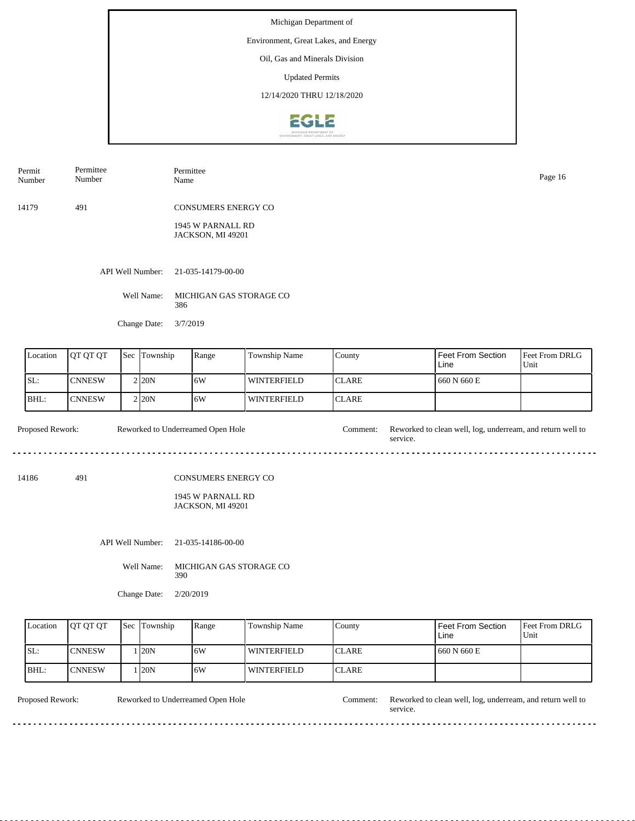Environment, Great Lakes, and Energy

Oil, Gas and Minerals Division

Updated Permits

12/14/2020 THRU 12/18/2020



| Permit<br>Number | Permittee<br>Number | Permittee<br>Name                                                    | Page 16 |
|------------------|---------------------|----------------------------------------------------------------------|---------|
| 14179            | 491                 | <b>CONSUMERS ENERGY CO</b><br>1945 W PARNALL RD<br>JACKSON, MI 49201 |         |
|                  | API Well Number:    | 21-035-14179-00-00                                                   |         |
|                  | Well Name:          | MICHIGAN GAS STORAGE CO<br>386                                       |         |
|                  | Change Date:        | 3/7/2019                                                             |         |

| Location | <b>IOT OT OT</b> | <b>Sec Township</b> | Range | <b>Township Name</b> | County        | Feet From Section<br>Line | <b>Feet From DRLG</b><br>Unit |
|----------|------------------|---------------------|-------|----------------------|---------------|---------------------------|-------------------------------|
| ISL:     | <b>CNNESW</b>    | 2 <sub>120</sub> N  | 16W   | <b>WINTERFIELD</b>   | <b>ICLARE</b> | 660 N 660 E               |                               |
| BHL:     | <b>CNNESW</b>    | 2120N               | 16W   | l winterfield        | <b>ICLARE</b> |                           |                               |

Proposed Rework: Reworked to Underreamed Open Hole Comment: Reworked to clean well, log, underream, and return well to Reworked to Underreamed Open Hole service.  $\mathbf{L}$  . . . . .

14186 491

## CONSUMERS ENERGY CO

1945 W PARNALL RD JACKSON, MI 49201

API Well Number: 21-035-14186-00-00

Well Name: MICHIGAN GAS STORAGE CO 390

Change Date: 2/20/2019

| Location | <b>IOT OT OT</b> | <b>Sec</b> Township | Range | Township Name      | County        | <b>Feet From Section</b><br>Line | <b>Feet From DRLG</b><br>Unit |
|----------|------------------|---------------------|-------|--------------------|---------------|----------------------------------|-------------------------------|
| SL:      | <b>CNNESW</b>    | <b>120N</b>         | 16W   | WINTERFIELD        | <b>ICLARE</b> | 1660 N 660 E                     |                               |
| BHL:     | ICNNESW          | <b>120N</b>         | ا 6W  | <b>WINTERFIELD</b> | <b>ICLARE</b> |                                  |                               |

Reworked to Underreamed Open Hole

<u>. . . . . . . . .</u>

Proposed Rework: Reworked to Underreamed Open Hole Comment: Reworked to clean well, log, underream, and return well to service.

 $\overline{a}$  .  $\overline{a}$ 

. . . . . . . . . . .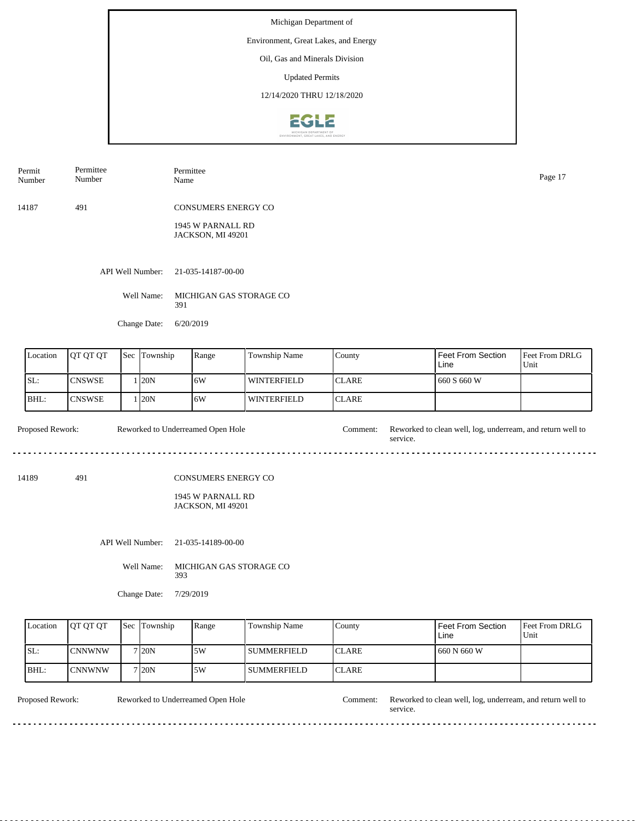Environment, Great Lakes, and Energy

Oil, Gas and Minerals Division

Updated Permits

12/14/2020 THRU 12/18/2020



| Permit<br>Number | Permittee<br>Number | Permittee<br>Name                      | Page 17 |
|------------------|---------------------|----------------------------------------|---------|
| 14187            | 491                 | <b>CONSUMERS ENERGY CO</b>             |         |
|                  |                     | 1945 W PARNALL RD<br>JACKSON, MI 49201 |         |
|                  | API Well Number:    | 21-035-14187-00-00                     |         |
|                  | Well Name:          | MICHIGAN GAS STORAGE CO<br>391         |         |
|                  | Change Date:        | 6/20/2019                              |         |
|                  |                     |                                        |         |

| Location | <b>IOT OT OT</b> | <b>Sec</b> Township | Range | Township Name      | County        | Feet From Section<br>Line | <b>Feet From DRLG</b><br>Unit |
|----------|------------------|---------------------|-------|--------------------|---------------|---------------------------|-------------------------------|
| SL:      | <b>CNSWSE</b>    | 120N                | 16W   | <b>WINTERFIELD</b> | <b>ICLARE</b> | 1660 S 660 W              |                               |
| IBHL:    | <b>CNSWSE</b>    | 120N                | 16W   | <b>WINTERFIELD</b> | <b>ICLARE</b> |                           |                               |

Proposed Rework: Reworked to Underreamed Open Hole Comment: Reworked to clean well, log, underream, and return well to Reworked to Underreamed Open Hole service. . . . .

14189 491

## CONSUMERS ENERGY CO

1945 W PARNALL RD JACKSON, MI 49201

API Well Number: 21-035-14189-00-00

Well Name: MICHIGAN GAS STORAGE CO 393

Change Date: 7/29/2019

| Location | <b>IOT OT OT</b> | <b>Sec Township</b> | Range | Township Name | County        | Feet From Section<br>Line | <b>Feet From DRLG</b><br>Unit |
|----------|------------------|---------------------|-------|---------------|---------------|---------------------------|-------------------------------|
| SL:      | CNNWNW           | 7120N               | ا 5W  | l summerfield | <b>ICLARE</b> | 660 N 660 W               |                               |
| BHL:     | ICNNWNW          | 7 <sub>120</sub> N  | .5W   | l summerfield | <b>ICLARE</b> |                           |                               |

Reworked to Underreamed Open Hole

<u>o dio dio dio d</u>

Proposed Rework: Reworked to Underreamed Open Hole Comment: Reworked to clean well, log, underream, and return well to service.

 $\overline{a}$  .  $\overline{a}$ 

. . . . . . . . . . .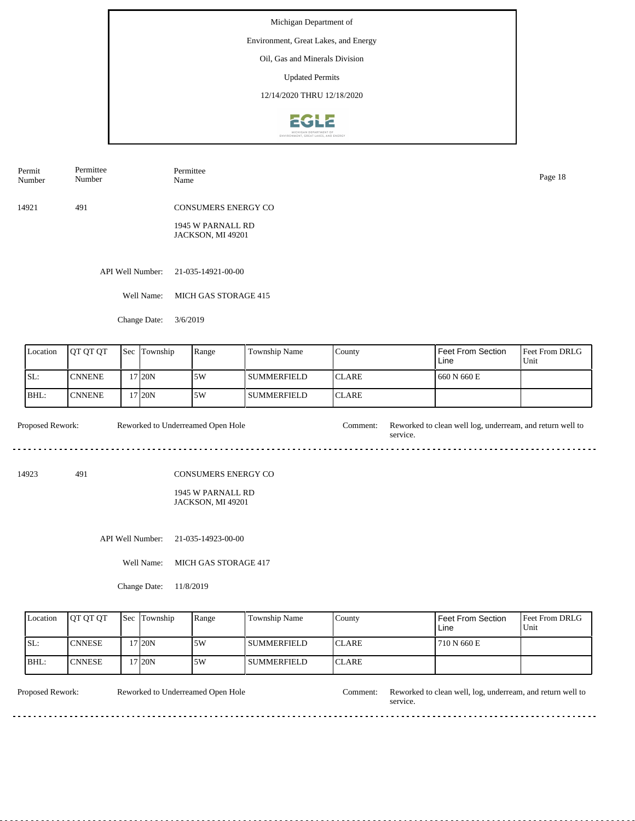Environment, Great Lakes, and Energy

Oil, Gas and Minerals Division

Updated Permits

12/14/2020 THRU 12/18/2020



14921 491 CONSUMERS ENERGY CO Permit Number Permittee Number Permittee Name Page 18

> 1945 W PARNALL RD JACKSON, MI 49201

API Well Number: 21-035-14921-00-00

Well Name: MICH GAS STORAGE 415

Change Date: 3/6/2019

| Location | <b>IOT OT OT</b> | Sec | Township | Range | Township Name | County        | Feet From Section<br>Line | <b>Feet From DRLG</b><br>Unit |
|----------|------------------|-----|----------|-------|---------------|---------------|---------------------------|-------------------------------|
| ISL:     | <b>CNNENE</b>    |     | 17120N   | 5W    | l summerfield | <b>ICLARE</b> | 660 N 660 E               |                               |
| IBHL:    | <b>CNNENE</b>    |     | '7120N   | 5W    | l summerfield | <b>ICLARE</b> |                           |                               |

Proposed Rework: Reworked to Underreamed Open Hole Comment: Reworked to clean well log, underream, and return well to Reworked to Underreamed Open Hole service. 

14923 491

CONSUMERS ENERGY CO

1945 W PARNALL RD JACKSON, MI 49201

API Well Number: 21-035-14923-00-00

Well Name: MICH GAS STORAGE 417

Change Date: 11/8/2019

| Location | <b>IOT OT OT</b> | <b>Sec</b> Township | Range | Township Name      | County        | Feet From Section<br>Line | <b>IFeet From DRLG</b><br>Unit |
|----------|------------------|---------------------|-------|--------------------|---------------|---------------------------|--------------------------------|
| ISL:     | <b>ICNNESE</b>   | 17 20N              | 15W   | I SUMMERFIELD      | <b>ICLARE</b> | 710 N 660 E               |                                |
| BHL:     | <b>ICNNESE</b>   | 17 20N              | .5W   | <b>SUMMERFIELD</b> | <b>ICLARE</b> |                           |                                |

<u>. . . . . . .</u>

Reworked to Underreamed Open Hole

Proposed Rework: Reworked to Underreamed Open Hole Comment: Reworked to clean well, log, underream, and return well to service.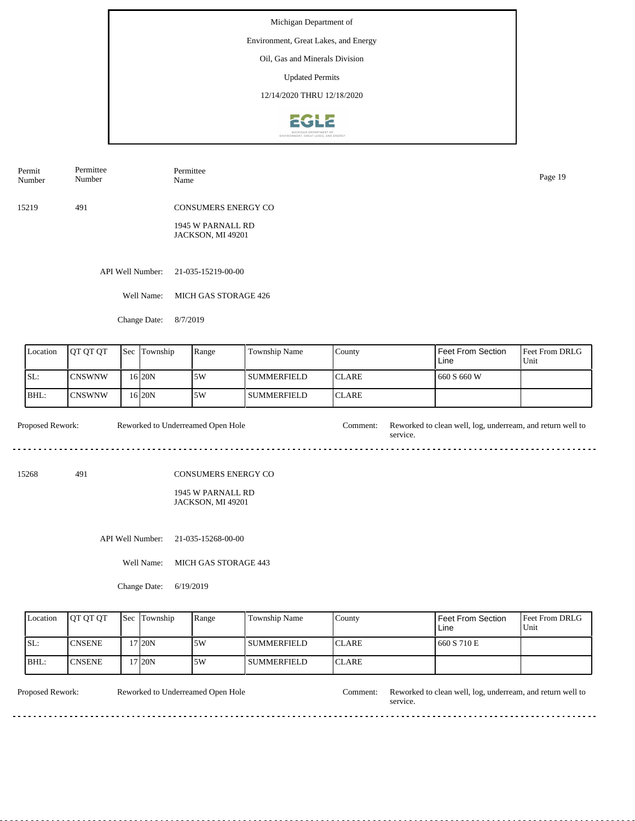Environment, Great Lakes, and Energy

Oil, Gas and Minerals Division

Updated Permits

12/14/2020 THRU 12/18/2020



15219 491 CONSUMERS ENERGY CO Permit Number Permittee Number Permittee Name Page 19

> 1945 W PARNALL RD JACKSON, MI 49201

API Well Number: 21-035-15219-00-00

Well Name: MICH GAS STORAGE 426

Change Date: 8/7/2019

| Location | <b>IOT OT OT</b> | Sec | Township | Range | Township Name | County        | Feet From Section<br>Line | <b>Feet From DRLG</b><br>Unit |
|----------|------------------|-----|----------|-------|---------------|---------------|---------------------------|-------------------------------|
| ISL:     | <b>CNSWNW</b>    |     | 16 20N   | 5W    | l summerfield | <b>ICLARE</b> | 660 S 660 W               |                               |
| IBHL:    | <b>ICNSWNW</b>   |     | 16 20N   | 5W    | l SUMMERFIELD | <b>ICLARE</b> |                           |                               |

Proposed Rework: Reworked to Underreamed Open Hole Comment: Reworked to clean well, log, underream, and return well to Reworked to Underreamed Open Hole service. 

15268 491

CONSUMERS ENERGY CO

1945 W PARNALL RD JACKSON, MI 49201

API Well Number: 21-035-15268-00-00

Well Name: MICH GAS STORAGE 443

Change Date: 6/19/2019

| Location | <b>OT OT OT</b> | <b>Sec</b> Township | Range | Township Name      | County        | Feet From Section<br>Line | <b>Feet From DRLG</b><br>Unit |
|----------|-----------------|---------------------|-------|--------------------|---------------|---------------------------|-------------------------------|
| ISL:     | <b>ICNSENE</b>  | 17 <sub>20N</sub>   | 15W   | I SUMMERFIELD      | <b>ICLARE</b> | 660 S 710 E               |                               |
| BHL:     | <b>ICNSENE</b>  | 17 20N              | 15W   | <b>SUMMERFIELD</b> | <b>ICLARE</b> |                           |                               |

<u>. . . . . . .</u>

Reworked to Underreamed Open Hole

Proposed Rework: Reworked to Underreamed Open Hole Comment: Reworked to clean well, log, underream, and return well to service.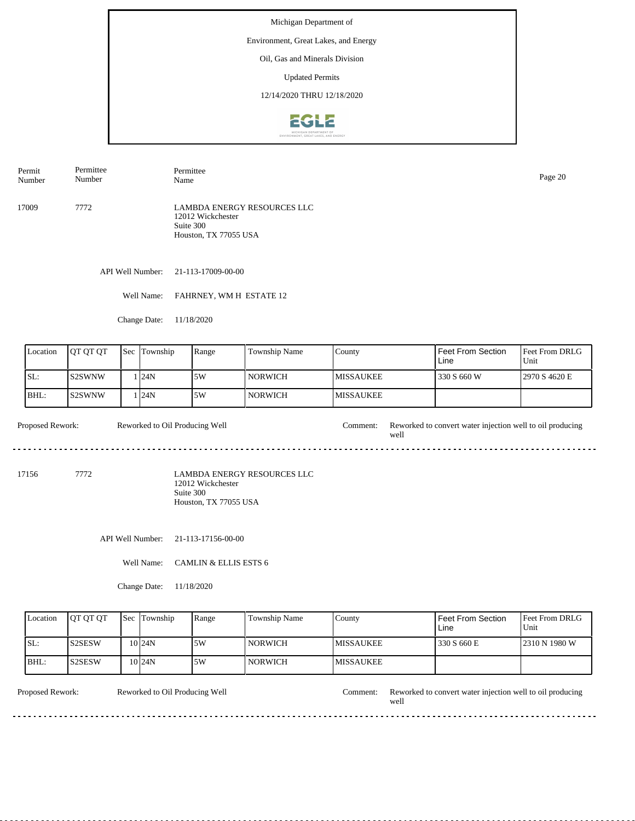## Environment, Great Lakes, and Energy

Oil, Gas and Minerals Division

Updated Permits

12/14/2020 THRU 12/18/2020



17009 7772 LAMBDA ENERGY RESOURCES LLC 12012 Wickchester Suite 300 Houston, TX 77055 USA Permit Number Permittee Number Permittee Name Page 20

API Well Number: 21-113-17009-00-00

Well Name: FAHRNEY, WM H ESTATE 12

Change Date: 11/18/2020

| Location | <b>IOT OT OT</b> | <b>Sec</b> Township | Range | <b>Township Name</b> | County            | Feet From Section<br>Line | <b>IFeet From DRLG</b><br>Unit |
|----------|------------------|---------------------|-------|----------------------|-------------------|---------------------------|--------------------------------|
| SL:      | <b>IS2SWNW</b>   | 124N                | 5W    | l norwich            | <b>IMISSAUKEE</b> | 330 S 660 W               | 2970 S 4620 E                  |
| IBHL:    | <b>IS2SWNW</b>   | 124N                | 5W    | l norwich            | <b>IMISSAUKEE</b> |                           |                                |

Proposed Rework: Reworked to Oil Producing Well Comment: Reworked to convert water injection well to oil producing Reworked to Oil Producing Well well ----------------------------a a 

17156 7772

LAMBDA ENERGY RESOURCES LLC 12012 Wickchester Suite 300 Houston, TX 77055 USA

API Well Number: 21-113-17156-00-00

Well Name: CAMLIN & ELLIS ESTS 6

Change Date: 11/18/2020

| Location | <b>OT OT OT</b> | <b>Sec</b> Township | Range | Township Name  | County            | Feet From Section<br>Line | <b>Feet From DRLG</b><br>Unit |
|----------|-----------------|---------------------|-------|----------------|-------------------|---------------------------|-------------------------------|
| ISL:     | <b>S2SESW</b>   | 10 24 N             | .5W   | <b>NORWICH</b> | <b>IMISSAUKEE</b> | 330 S 660 E               | 2310 N 1980 W                 |
| IBHL:    | <b>S2SESW</b>   | $10$  24N           | .5W   | <b>NORWICH</b> | <b>IMISSAUKEE</b> |                           |                               |

Reworked to Oil Producing Well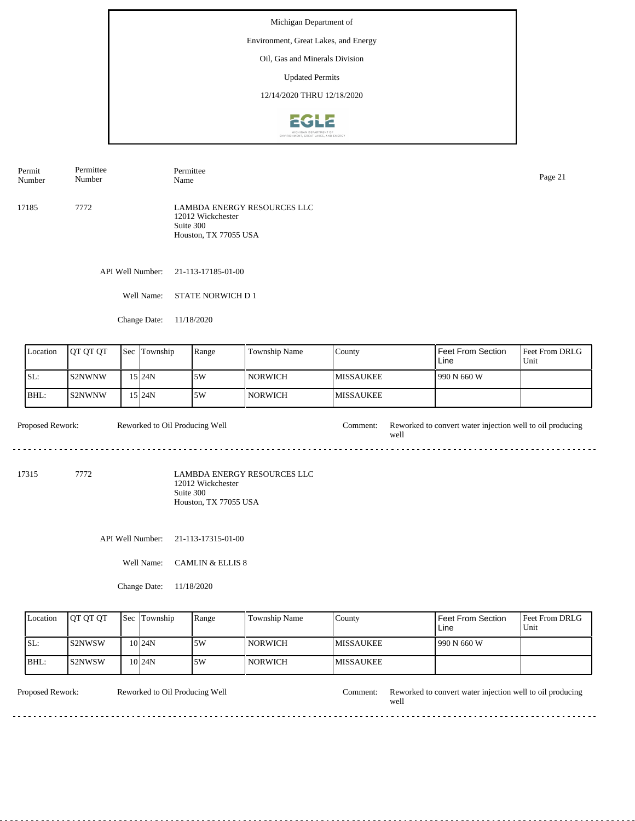## Environment, Great Lakes, and Energy

Oil, Gas and Minerals Division

Updated Permits

12/14/2020 THRU 12/18/2020



17185 7772 LAMBDA ENERGY RESOURCES LLC 12012 Wickchester Suite 300 Houston, TX 77055 USA Permit Number Permittee Number Permittee Name Page 21

API Well Number: 21-113-17185-01-00

Well Name: STATE NORWICH D 1

Change Date: 11/18/2020

| Location | <b>JOT OT OT</b> | <b>Sec Township</b> | Range | <b>Township Name</b> | County            | Feet From Section<br>Line | Feet From DRLG<br>Unit |
|----------|------------------|---------------------|-------|----------------------|-------------------|---------------------------|------------------------|
| SL:      | IS2NWNW          | 15 I24N             | 5W    | l NORWICH            | <b>IMISSAUKEE</b> | 990 N 660 W               |                        |
| BHL:     | IS2NWNW          | 15 I24N             | 5W    | l norwich            | <b>IMISSAUKEE</b> |                           |                        |

Proposed Rework: Reworked to Oil Producing Well Comment: Reworked to convert water injection well to oil producing Reworked to Oil Producing Well well a a 

17315 7772

LAMBDA ENERGY RESOURCES LLC 12012 Wickchester Suite 300 Houston, TX 77055 USA

API Well Number: 21-113-17315-01-00

Well Name: CAMLIN & ELLIS 8

Change Date: 11/18/2020

| Location | <b>IOT OT OT</b> | <b>Sec</b> Township | Range | Township Name  | County            | <b>Feet From Section</b><br>Line | <b>Feet From DRLG</b><br>Unit |
|----------|------------------|---------------------|-------|----------------|-------------------|----------------------------------|-------------------------------|
| ISL:     | <b>IS2NWSW</b>   | $10$ <sub>24N</sub> | .5W   | <b>NORWICH</b> | <b>IMISSAUKEE</b> | 990 N 660 W                      |                               |
| BHL:     | IS2NWSW          | $10$ <sub>24N</sub> | 15W   | <b>NORWICH</b> | <b>IMISSAUKEE</b> |                                  |                               |

Reworked to Oil Producing Well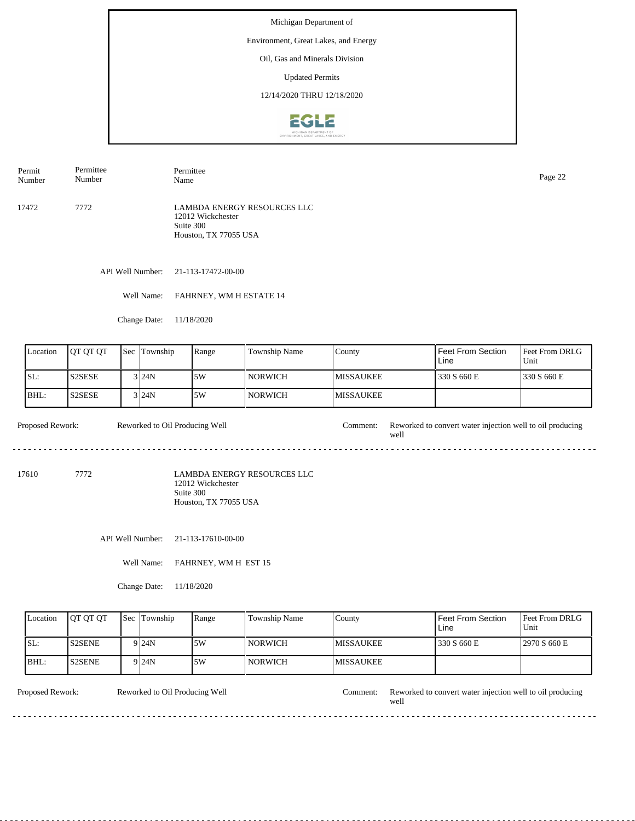## Environment, Great Lakes, and Energy

Oil, Gas and Minerals Division

Updated Permits

12/14/2020 THRU 12/18/2020



17472 7772 LAMBDA ENERGY RESOURCES LLC 12012 Wickchester Suite 300 Houston, TX 77055 USA Permit Number Permittee Number Permittee Page 22<br>Name Page 22

API Well Number: 21-113-17472-00-00

Well Name: FAHRNEY, WM H ESTATE 14

Change Date: 11/18/2020

| Location | <b>IOT OT OT</b> | <b>Sec</b> Township | Range | <b>Township Name</b> | County            | Feet From Section<br>Line | <b>Feet From DRLG</b><br>Unit |
|----------|------------------|---------------------|-------|----------------------|-------------------|---------------------------|-------------------------------|
| ISL:     | <b>S2SESE</b>    | $3$ $24N$           | 5W    | l NORWICH-           | <b>IMISSAUKEE</b> | 330 S 660 E               | 330 S 660 E                   |
| BHL:     | <b>S2SESE</b>    | $3$ $24N$           | 5W    | l NORWICH-           | <b>IMISSAUKEE</b> |                           |                               |

Proposed Rework: Reworked to Oil Producing Well Comment: Reworked to convert water injection well to oil producing Reworked to Oil Producing Well well ............................. a a

17610 7772

LAMBDA ENERGY RESOURCES LLC 12012 Wickchester Suite 300 Houston, TX 77055 USA

API Well Number: 21-113-17610-00-00

Well Name: FAHRNEY, WM H EST 15

Change Date: 11/18/2020

| Location | <b>IOT OT OT</b> | <b>Sec Township</b> | Range | Township Name  | County            | Feet From Section<br>Line | <b>IFeet From DRLG</b><br>Unit |
|----------|------------------|---------------------|-------|----------------|-------------------|---------------------------|--------------------------------|
| ISL:     | <b>S2SENE</b>    | 9 I 24 N            | .5W   | <b>NORWICH</b> | <b>IMISSAUKEE</b> | 330 S 660 E               | 2970 S 660 E                   |
| BHL:     | <b>S2SENE</b>    | 9 I 24 N            | .5W   | <b>NORWICH</b> | <b>IMISSAUKEE</b> |                           |                                |

Reworked to Oil Producing Well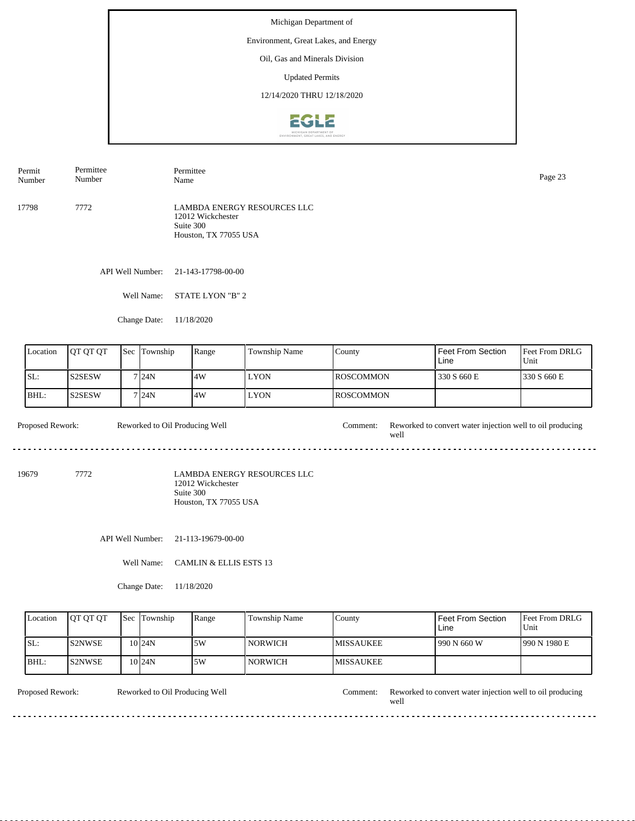## Environment, Great Lakes, and Energy

Oil, Gas and Minerals Division

Updated Permits

12/14/2020 THRU 12/18/2020



17798 7772 LAMBDA ENERGY RESOURCES LLC 12012 Wickchester Suite 300 Houston, TX 77055 USA Permit Number Permittee Number Permittee Page 23<br>Name Page 23

API Well Number: 21-143-17798-00-00

Well Name: STATE LYON "B" 2

Change Date: 11/18/2020

| Location | <b>OT OT OT</b> | <b>Sec</b> | Township | Range | <b>Township Name</b> | County            | Feet From Section<br>Line | <b>Feet From DRLG</b><br>Unit |
|----------|-----------------|------------|----------|-------|----------------------|-------------------|---------------------------|-------------------------------|
| ISL:     | <b>IS2SESW</b>  |            | 7 24N    | 4W    | <b>LYON</b>          | <b>IROSCOMMON</b> | 330 S 660 E               | 330 S 660 E                   |
| BHL:     | <b>S2SESW</b>   |            | 7124N    | .4W   | <b>LYON</b>          | <b>IROSCOMMON</b> |                           |                               |

Proposed Rework: Reworked to Oil Producing Well Comment: Reworked to convert water injection well to oil producing Reworked to Oil Producing Well well ............................. a a

19679 7772

LAMBDA ENERGY RESOURCES LLC 12012 Wickchester Suite 300 Houston, TX 77055 USA

API Well Number: 21-113-19679-00-00

Well Name: CAMLIN & ELLIS ESTS 13

Change Date: 11/18/2020

| Location | <b>OT OT OT</b> | <b>Sec Township</b> | Range | Township Name  | County            | <b>Feet From Section</b><br>Line | <b>IFeet From DRLG</b><br>Unit |
|----------|-----------------|---------------------|-------|----------------|-------------------|----------------------------------|--------------------------------|
| ISL:     | <b>IS2NWSE</b>  | $10$ <sub>24N</sub> | .5W   | <b>NORWICH</b> | <b>IMISSAUKEE</b> | 1990 N 660 W                     | 1990 N 1980 E                  |
| BHL:     | IS2NWSE         | $10$ <sub>24N</sub> | 15W   | <b>NORWICH</b> | <b>IMISSAUKEE</b> |                                  |                                |

Reworked to Oil Producing Well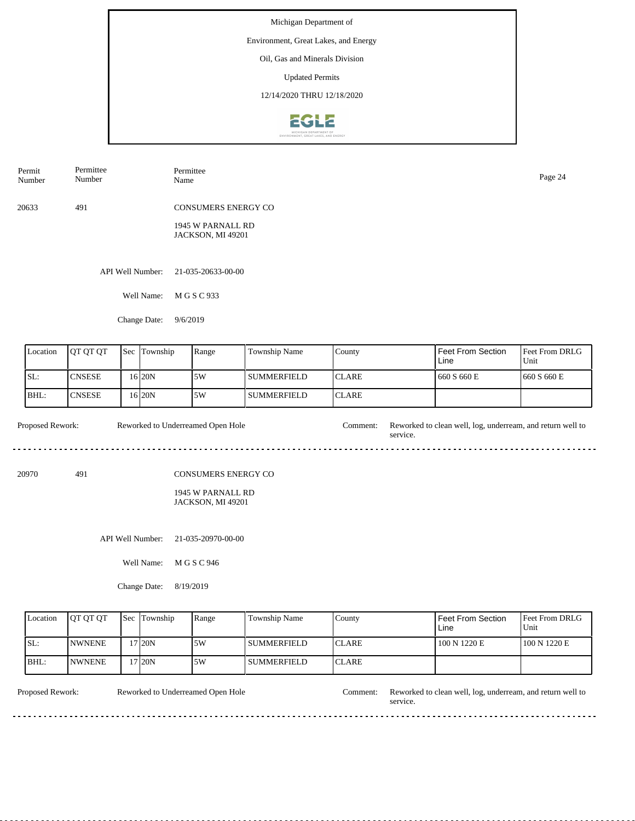Environment, Great Lakes, and Energy

Oil, Gas and Minerals Division

Updated Permits

12/14/2020 THRU 12/18/2020



| Permittee<br>Permit<br>Number<br>Number | Permittee<br>Name                                                           | Page 24 |
|-----------------------------------------|-----------------------------------------------------------------------------|---------|
| 20633<br>491                            | <b>CONSUMERS ENERGY CO</b><br>1945 W PARNALL RD<br><b>JACKSON, MI 49201</b> |         |
| API Well Number:                        | 21-035-20633-00-00                                                          |         |
| Well Name:                              | M G S C 933                                                                 |         |
| Change Date:                            | 9/6/2019                                                                    |         |

| Location | <b>IOT OT OT</b> | <b>Sec Township</b> | Range | <b>Township Name</b> | County        | Feet From Section<br>Line | <b>Feet From DRLG</b><br>Unit |
|----------|------------------|---------------------|-------|----------------------|---------------|---------------------------|-------------------------------|
| ISL:     | <b>CNSESE</b>    | 16 <sub>20N</sub>   | .5W   | l summerfield        | <b>ICLARE</b> | 660 S660 E                | 1660 S 660 E                  |
| BHL:     | <b>CNSESE</b>    | 16 20N              | .5W   | l summerfield        | ICLARE        |                           |                               |

Proposed Rework: Reworked to Underreamed Open Hole Comment: Reworked to clean well, log, underream, and return well to Reworked to Underreamed Open Hole service. 

20970 491

CONSUMERS ENERGY CO

#### 1945 W PARNALL RD JACKSON, MI 49201

API Well Number: 21-035-20970-00-00

Well Name: M G S C 946

Change Date: 8/19/2019

| Location | <b>IOT OT OT</b> | <b>Sec Township</b> | Range | Township Name | County        | Feet From Section<br>Line | <b>IFeet From DRLG</b><br>l Unit |
|----------|------------------|---------------------|-------|---------------|---------------|---------------------------|----------------------------------|
| ISL:     | <b>INWNENE</b>   | 17 <sub>120</sub> N | 5W    | l summerfield | <b>ICLARE</b> | 100 N 1220 E              | 100 N 1220 E                     |
| BHL:     | <b>NWNENE</b>    | 17 <sub>120</sub> N | .5W   | l SUMMERFIELD | <b>ICLARE</b> |                           |                                  |

<u>. . . . . . . . .</u>

Reworked to Underreamed Open Hole

Proposed Rework: Reworked to Underreamed Open Hole Comment: Reworked to clean well, log, underream, and return well to service.

 $\sim$   $\sim$   $\sim$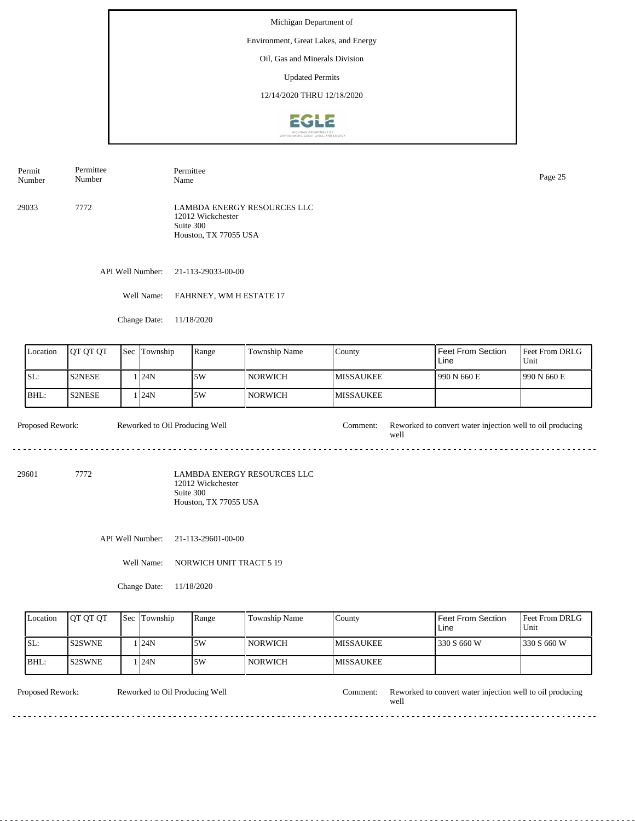## Environment, Great Lakes, and Energy

Oil, Gas and Minerals Division

Updated Permits

12/14/2020 THRU 12/18/2020



29033 7772 LAMBDA ENERGY RESOURCES LLC 12012 Wickchester Suite 300 Houston, TX 77055 USA Permit Number Permittee Number Permittee Name Page 25

API Well Number: 21-113-29033-00-00

Well Name: FAHRNEY, WM H ESTATE 17

Change Date: 11/18/2020

| Location | <b>OT OT OT</b> | <b>Sec</b> | Township | Range | <b>Township Name</b> | County            | Feet From Section<br>Line | <b>Feet From DRLG</b><br>Unit |
|----------|-----------------|------------|----------|-------|----------------------|-------------------|---------------------------|-------------------------------|
| SL:      | <b>S2NESE</b>   |            | 124N     | 5W    | I NORWICH            | <b>IMISSAUKEE</b> | 990 N 660 E               | 1990 N 660 E                  |
| IBHL:    | IS2NESE         |            | 124N     | 5W    | I NORWICH            | <b>MISSAUKEE</b>  |                           |                               |

Proposed Rework: Reworked to Oil Producing Well Comment: Reworked to convert water injection well to oil producing Reworked to Oil Producing Well well ----------------------------- $\overline{a}$ 

29601 7772

LAMBDA ENERGY RESOURCES LLC 12012 Wickchester Suite 300 Houston, TX 77055 USA

API Well Number: 21-113-29601-00-00

Well Name: NORWICH UNIT TRACT 5 19

Change Date: 11/18/2020

| Location | <b>IOT OT OT</b> | <b>Sec</b> Township | Range | Township Name  | County            | Feet From Section<br>Line | <b>IFeet From DRLG</b><br>Unit |
|----------|------------------|---------------------|-------|----------------|-------------------|---------------------------|--------------------------------|
| ISL:     | IS2SWNE          | . <b>124N</b>       | .5W   | <b>NORWICH</b> | <b>IMISSAUKEE</b> | 330 S 660 W               | 1330 S 660 W                   |
| BHL:     | <b>S2SWNE</b>    | . <b>124N</b>       | .5W   | <b>NORWICH</b> | <b>IMISSAUKEE</b> |                           |                                |

Reworked to Oil Producing Well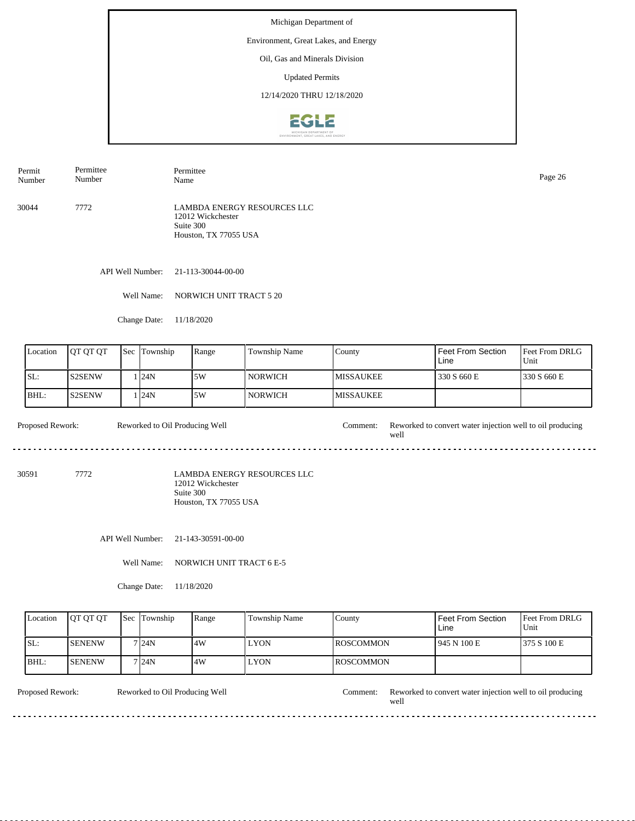## Environment, Great Lakes, and Energy

Oil, Gas and Minerals Division

Updated Permits

12/14/2020 THRU 12/18/2020



30044 7772 LAMBDA ENERGY RESOURCES LLC 12012 Wickchester Suite 300 Houston, TX 77055 USA Permit Number Permittee Number Permittee Name Page 26

API Well Number: 21-113-30044-00-00

Well Name: NORWICH UNIT TRACT 5 20

Change Date: 11/18/2020

| Location | <b>IOT OT OT</b> | <b>Sec</b> | Township | Range | <b>Township Name</b> | County            | Feet From Section<br>Line | <b>Feet From DRLG</b><br>Unit |
|----------|------------------|------------|----------|-------|----------------------|-------------------|---------------------------|-------------------------------|
| SL:      | IS2SENW          |            | . I24N   | .5W   | <b>NORWICH</b>       | <b>IMISSAUKEE</b> | 330 S 660 E               | 330 S 660 E                   |
| IBHL:    | <b>S2SENW</b>    |            | . I24N   | 5W    | <b>NORWICH</b>       | <b>IMISSAUKEE</b> |                           |                               |

Proposed Rework: Reworked to Oil Producing Well Comment: Reworked to convert water injection well to oil producing Reworked to Oil Producing Well well 

30591 7772

LAMBDA ENERGY RESOURCES LLC 12012 Wickchester Suite 300 Houston, TX 77055 USA

API Well Number: 21-143-30591-00-00

Well Name: NORWICH UNIT TRACT 6 E-5

Change Date: 11/18/2020

| Location | <b>IOT OT OT</b> | <b>Sec</b> Township | Range | Township Name | County            | <b>Feet From Section</b><br>Line | <b>Feet From DRLG</b><br>Unit |
|----------|------------------|---------------------|-------|---------------|-------------------|----------------------------------|-------------------------------|
| ISL:     | <b>ISENENW</b>   | 7124N               | 14W   | <b>LYON</b>   | <b>IROSCOMMON</b> | 1945 N 100 E                     | 1375 S 100 E                  |
| BHL:     | <b>ISENENW</b>   | 7 24N               | 14W   | <b>LYON</b>   | <b>IROSCOMMON</b> |                                  |                               |

Reworked to Oil Producing Well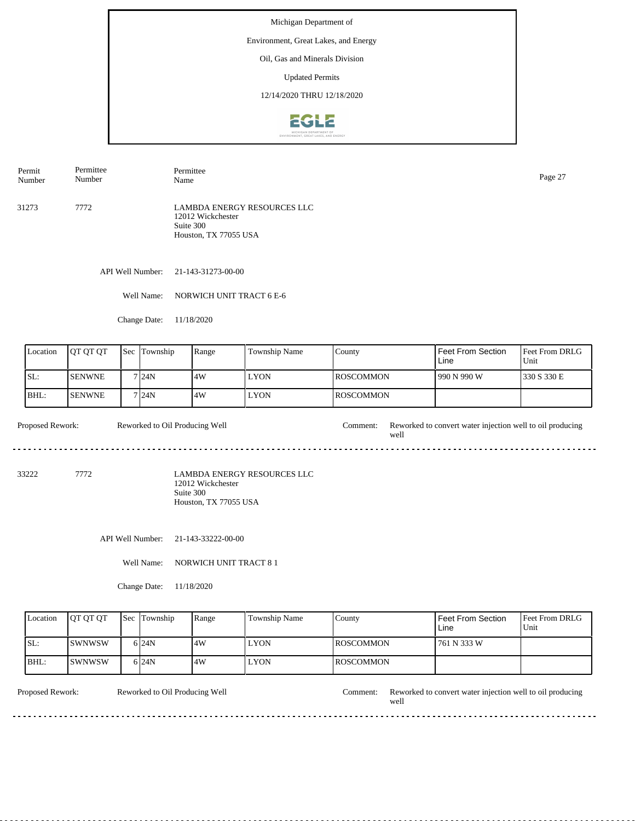## Environment, Great Lakes, and Energy

Oil, Gas and Minerals Division

Updated Permits

12/14/2020 THRU 12/18/2020



31273 7772 LAMBDA ENERGY RESOURCES LLC 12012 Wickchester Suite 300 Houston, TX 77055 USA Permit Number Permittee Number Permittee Name Page 27

API Well Number: 21-143-31273-00-00

Well Name: NORWICH UNIT TRACT 6 E-6

Change Date: 11/18/2020

| Location | <b>IOT OT OT</b> | Sec | Township | Range | Township Name | County            | Feet From Section<br>Line | <b>Feet From DRLG</b><br>Unit |
|----------|------------------|-----|----------|-------|---------------|-------------------|---------------------------|-------------------------------|
| ISL:     | <b>ISENWNE</b>   |     | 7 24N    | 14W   | <b>LYON</b>   | <b>IROSCOMMON</b> | 990 N 990 W               | 330 S 330 E                   |
| IBHL:    | <b>ISENWNE</b>   |     | 7124N    | 14W   | <b>LYON</b>   | <b>IROSCOMMON</b> |                           |                               |

Proposed Rework: Reworked to Oil Producing Well Comment: Reworked to convert water injection well to oil producing Reworked to Oil Producing Well well ............................. a a

33222 7772

LAMBDA ENERGY RESOURCES LLC 12012 Wickchester Suite 300 Houston, TX 77055 USA

API Well Number: 21-143-33222-00-00

Well Name: NORWICH UNIT TRACT 8 1

Change Date: 11/18/2020

| Location | <b>IOT OT OT</b> | <b>Sec</b> Township | Range | Township Name | County            | Feet From Section<br>Line | <b>Feet From DRLG</b><br>Unit |
|----------|------------------|---------------------|-------|---------------|-------------------|---------------------------|-------------------------------|
| ISL:     | <b>ISWNWSW</b>   | 6 <sub>24N</sub>    | 14W   | <b>LYON</b>   | <b>IROSCOMMON</b> | 761 N 333 W               |                               |
| BHL:     | <b>ISWNWSW</b>   | 6 <sub>24N</sub>    | 14W   | <b>LYON</b>   | <b>IROSCOMMON</b> |                           |                               |

Reworked to Oil Producing Well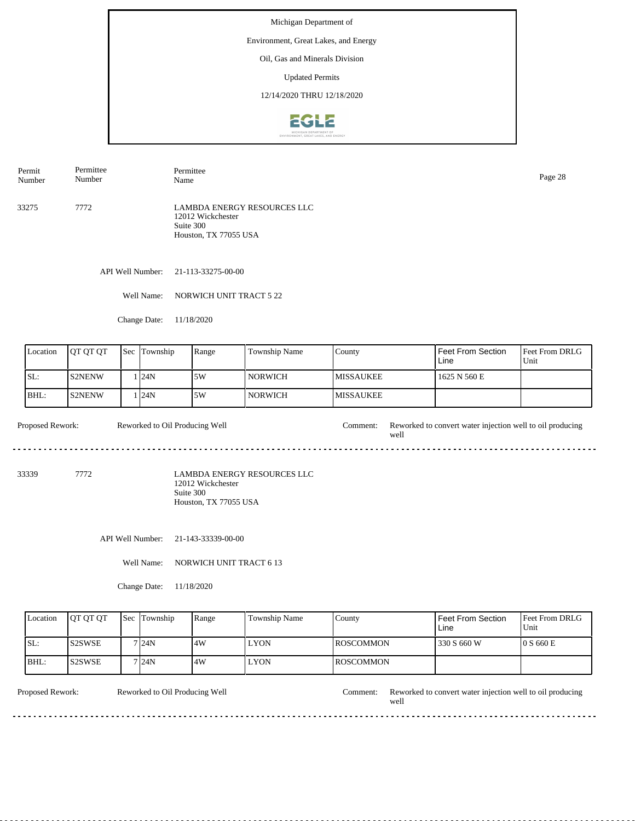## Environment, Great Lakes, and Energy

Oil, Gas and Minerals Division

Updated Permits

12/14/2020 THRU 12/18/2020



33275 7772 LAMBDA ENERGY RESOURCES LLC 12012 Wickchester Suite 300 Houston, TX 77055 USA Permit Number Permittee Number Permittee Name Page 28

API Well Number: 21-113-33275-00-00

Well Name: NORWICH UNIT TRACT 5 22

Change Date: 11/18/2020

| Location | <b>IOT OT OT</b> | <b>Sec</b> Township | Range | Township Name    | County            | Feet From Section<br>Line | <b>Feet From DRLG</b><br>Unit |
|----------|------------------|---------------------|-------|------------------|-------------------|---------------------------|-------------------------------|
| ISL:     | <b>S2NENW</b>    | 124N                | 5W    | l norwich        | <b>IMISSAUKEE</b> | 1625 N 560 E              |                               |
| IBHL:    | IS2NENW          | 124N                | 5W    | NORWICH <b>N</b> | <b>IMISSAUKEE</b> |                           |                               |

Proposed Rework: Reworked to Oil Producing Well Comment: Reworked to convert water injection well to oil producing Reworked to Oil Producing Well well .............................  $\overline{a}$ 

33339 7772

LAMBDA ENERGY RESOURCES LLC 12012 Wickchester Suite 300 Houston, TX 77055 USA

API Well Number: 21-143-33339-00-00

Well Name: NORWICH UNIT TRACT 6 13

Change Date: 11/18/2020

| Location | <b>IOT OT OT</b> | <b>Sec Township</b> | Range | Township Name | Countv            | <b>Feet From Section</b><br>Line | <b>Feet From DRLG</b><br>Unit |
|----------|------------------|---------------------|-------|---------------|-------------------|----------------------------------|-------------------------------|
| ISL:     | <b>IS2SWSE</b>   | 7 24N               | .4W   | LYON          | <b>IROSCOMMON</b> | 330 S 660 W                      | $0 S$ 660 E                   |
| BHL:     | IS2SWSE          | 7 I 24 N            | .4W   | LYON          | <b>IROSCOMMON</b> |                                  |                               |

Reworked to Oil Producing Well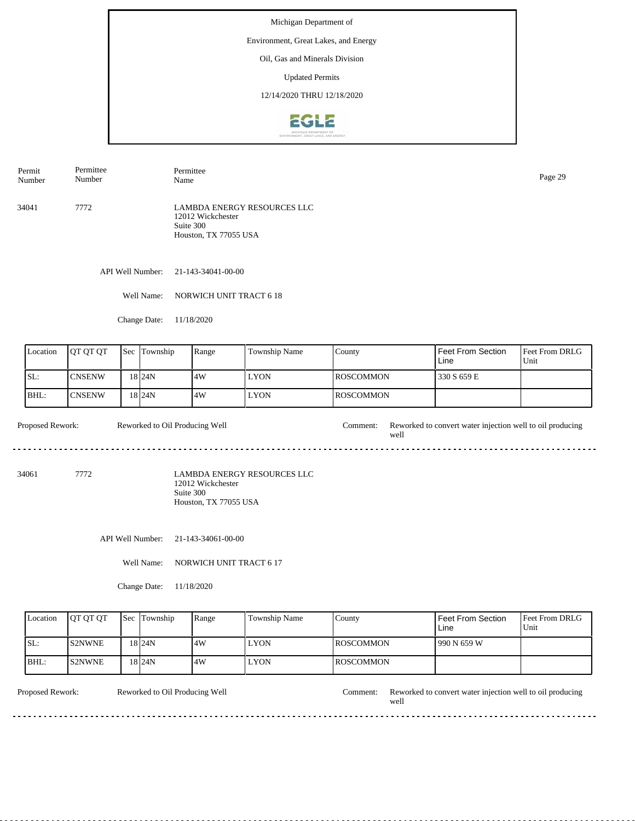## Environment, Great Lakes, and Energy

Oil, Gas and Minerals Division

Updated Permits

12/14/2020 THRU 12/18/2020



34041 7772 LAMBDA ENERGY RESOURCES LLC 12012 Wickchester Suite 300 Houston, TX 77055 USA Permit Number Permittee Number Permittee Page 29<br>Name Page 29

API Well Number: 21-143-34041-00-00

Well Name: NORWICH UNIT TRACT 6 18

Change Date: 11/18/2020

| Location | <b>IOT OT OT</b> | <b>Sec</b> Township | Range | <b>Township Name</b> | County            | <sup>I</sup> Feet From Section<br>Line | Feet From DRLG<br>Unit |
|----------|------------------|---------------------|-------|----------------------|-------------------|----------------------------------------|------------------------|
| ISL:     | ICNSENW          | 18 I 24 N           | 14W   | <b>LYON</b>          | <b>IROSCOMMON</b> | 330 S 659 E                            |                        |
| IBHL:    | ICNSENW          | 18 I 24 N           | 14W   | <b>LYON</b>          | <b>IROSCOMMON</b> |                                        |                        |

Proposed Rework: Reworked to Oil Producing Well Comment: Reworked to convert water injection well to oil producing Reworked to Oil Producing Well well 

34061 7772

LAMBDA ENERGY RESOURCES LLC 12012 Wickchester Suite 300 Houston, TX 77055 USA

API Well Number: 21-143-34061-00-00

Well Name: NORWICH UNIT TRACT 6 17

Change Date: 11/18/2020

| Location | <b>IOT OT OT</b> | <b>Sec</b> Township | Range | Township Name | County            | Feet From Section<br>Line | <b>Feet From DRLG</b><br>Unit |
|----------|------------------|---------------------|-------|---------------|-------------------|---------------------------|-------------------------------|
| ISL:     | <b>IS2NWNE</b>   | 18 <sub>24N</sub>   | 14W   | <b>LYON</b>   | <b>IROSCOMMON</b> | 1990 N 659 W              |                               |
| IBHL:    | IS2NWNE          | 18 <sub>24N</sub>   | 14W   | <b>LYON</b>   | <b>IROSCOMMON</b> |                           |                               |

Reworked to Oil Producing Well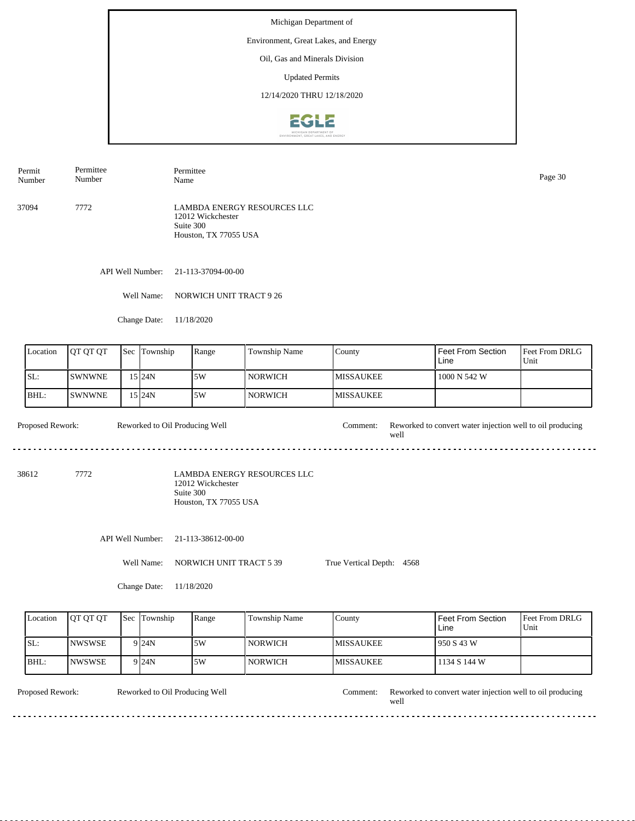Environment, Great Lakes, and Energy

Oil, Gas and Minerals Division

Updated Permits

12/14/2020 THRU 12/18/2020



Permit Number Permittee Number Permittee Name Page 30

37094 7772 LAMBDA ENERGY RESOURCES LLC 12012 Wickchester Suite 300 Houston, TX 77055 USA

API Well Number: 21-113-37094-00-00

Well Name: NORWICH UNIT TRACT 9 26

Change Date: 11/18/2020

| Location | <b>JOT OT OT</b> | $\text{Sec}$ | Township | Range | <b>Township Name</b> | County            | <b>Feet From Section</b><br>Line | <b>Feet From DRLG</b><br>Unit |
|----------|------------------|--------------|----------|-------|----------------------|-------------------|----------------------------------|-------------------------------|
| SL:      | <b>ISWNWNE</b>   |              | 15 I24N  | 5W    | NORWICH <b>N</b>     | <b>IMISSAUKEE</b> | 1000 N 542 W                     |                               |
| IBHL:    | <b>ISWNWNE</b>   |              | 15 I24N  | 5W    | <b>NORWICH</b>       | <b>MISSAUKEE</b>  |                                  |                               |

Proposed Rework: Reworked to Oil Producing Well Comment: Reworked to convert water injection well to oil producing Reworked to Oil Producing Well well <u>. . . . . . . . . . .</u> <u>. . . . . . . . . . . . . . . . .</u>

38612 7772

LAMBDA ENERGY RESOURCES LLC 12012 Wickchester Suite 300 Houston, TX 77055 USA

API Well Number: 21-113-38612-00-00

Well Name: NORWICH UNIT TRACT 5 39 True Vertical Depth: 4568

Change Date: 11/18/2020

| Location | <b>IOT OT OT</b> | <b>Sec</b> Township | Range | Township Name  | County            | <b>Feet From Section</b><br>Line | <b>Feet From DRLG</b><br>Unit |
|----------|------------------|---------------------|-------|----------------|-------------------|----------------------------------|-------------------------------|
| SL:      | INWSWSE          | 9 <sub>24N</sub>    | 15W   | <b>NORWICH</b> | <b>IMISSAUKEE</b> | 950 S 43 W                       |                               |
| BHL:     | INWSWSE          | 9 <sub>24N</sub>    | 15W   | <b>NORWICH</b> | <b>IMISSAUKEE</b> | 1134 S 144 W                     |                               |

Reworked to Oil Producing Well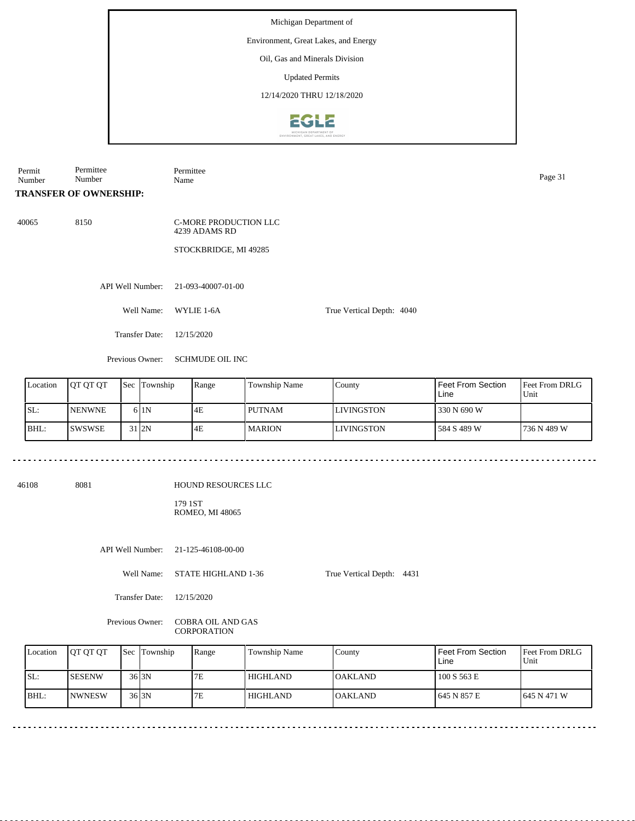## Environment, Great Lakes, and Energy

Oil, Gas and Minerals Division

Updated Permits

12/14/2020 THRU 12/18/2020



| Permit<br>Number | Permittee<br>Number           | Permittee<br>Name                                               |                           | Page 31 |
|------------------|-------------------------------|-----------------------------------------------------------------|---------------------------|---------|
|                  | <b>TRANSFER OF OWNERSHIP:</b> |                                                                 |                           |         |
| 40065            | 8150                          | C-MORE PRODUCTION LLC<br>4239 ADAMS RD<br>STOCKBRIDGE, MI 49285 |                           |         |
|                  | API Well Number:              | 21-093-40007-01-00                                              |                           |         |
|                  | Well Name:                    | WYLIE 1-6A                                                      | True Vertical Depth: 4040 |         |
|                  | <b>Transfer Date:</b>         | 12/15/2020                                                      |                           |         |
|                  | Previous Owner:               | <b>SCHMUDE OIL INC</b>                                          |                           |         |

| Location | <b>IOT OT OT</b> | <b>Sec Township</b> | Range | Township Name | County            | l Feet From Section<br>Line | <b>Feet From DRLG</b><br>Unit |
|----------|------------------|---------------------|-------|---------------|-------------------|-----------------------------|-------------------------------|
| SL:      | <b>NENWNE</b>    | 61N                 | 4E    | <b>PUTNAM</b> | <b>LIVINGSTON</b> | 330 N 690 W                 |                               |
| BHL:     | ISWSWSE          | 31 <sub>l</sub> 2N  | 4E    | <b>MARION</b> | <b>LIVINGSTON</b> | 584 S 489 W                 | 736 N 489 W                   |

<u>. . . . . . . . . . . .</u>

46108 8081

HOUND RESOURCES LLC

179 1ST ROMEO, MI 48065

API Well Number: 21-125-46108-00-00

Well Name: STATE HIGHLAND 1-36

True Vertical Depth: 4431

Transfer Date: 12/15/2020

<u>. . . . . . . .</u>

Previous Owner: COBRA OIL AND GAS CORPORATION

| Location | <b>IOT OT OT</b> | <b>Sec Township</b> | Range | Township Name   | County          | Feet From Section<br>Line | <b>IFeet From DRLG</b><br>Unit |
|----------|------------------|---------------------|-------|-----------------|-----------------|---------------------------|--------------------------------|
| SL:      | <b>SESENW</b>    | 36 <sub>13N</sub>   | 7E    | HIGHLAND        | <b>IOAKLAND</b> | 100 S 563 E               |                                |
| IBHL:    | <b>INWNESW</b>   | 36 <sub>13N</sub>   | 7E    | <b>HIGHLAND</b> | <b>OAKLAND</b>  | 645 N 857 E               | 1645 N 471 W                   |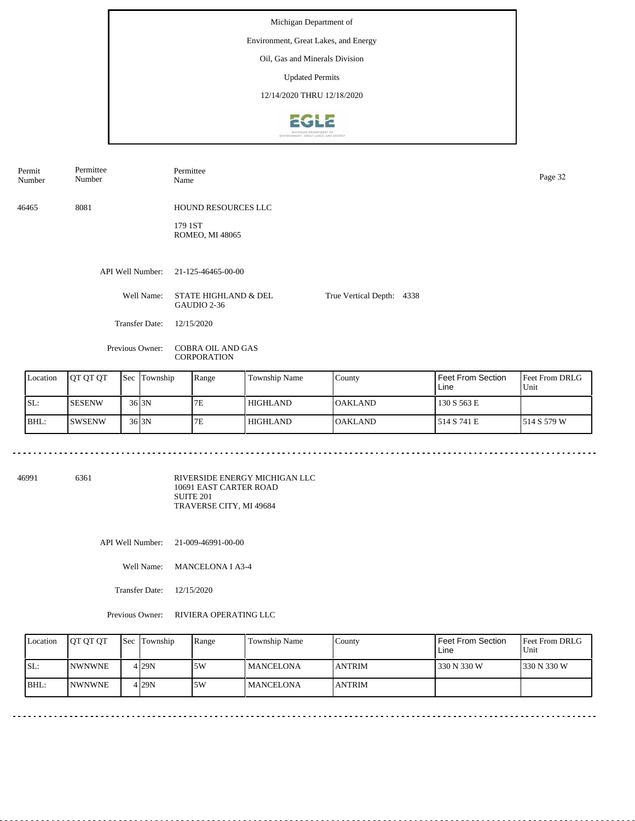#### Environment, Great Lakes, and Energy

Oil, Gas and Minerals Division

Updated Permits

12/14/2020 THRU 12/18/2020



API Well Number: 21-125-46465-00-00 Well Name: STATE HIGHLAND & DEL GAUDIO 2-36 Transfer Date: 12/15/2020 True Vertical Depth: 4338 Previous Owner: COBRA OIL AND GAS CORPORATION 46465 8081 HOUND RESOURCES LLC 179 1ST ROMEO, MI 48065 Permit Number Permittee Number Permittee Page 32<br>Name Page 32

|     | Location | <b>IOT OT OT</b> | <b>Sec Township</b> | Range | Township Name | County          | Feet From Section<br>Line | <b>Feet From DRLG</b><br>Unit |
|-----|----------|------------------|---------------------|-------|---------------|-----------------|---------------------------|-------------------------------|
| SL: |          | <b>SESENW</b>    | $36$ <sub>3N</sub>  | 7E    | l HIGHLAND    | <b>IOAKLAND</b> | 130 S 563 E               |                               |
|     | BHL:     | ISWSENW          | $36$ <sub>3N</sub>  | 7E    | l HIGHLAND    | <b>OAKLAND</b>  | 514 S 741 E               | 1514 S 579 W                  |

<u>. . . . . . .</u>

46991 6361

RIVERSIDE ENERGY MICHIGAN LLC 10691 EAST CARTER ROAD SUITE 201 TRAVERSE CITY, MI 49684

API Well Number: 21-009-46991-00-00

Well Name: MANCELONA I A3-4

Transfer Date: 12/15/2020

<u>. . . . . . . .</u>

Previous Owner: RIVIERA OPERATING LLC

| Location | <b>OT OT OT</b> | <b>Sec Township</b> | Range | <b>Township Name</b> | County         | Feet From Section<br>Line | <b>Feet From DRLG</b><br>Unit |
|----------|-----------------|---------------------|-------|----------------------|----------------|---------------------------|-------------------------------|
| ISL:     | <b>INWNWNE</b>  | $4$ <sub>29</sub> N | .5W   | <b>IMANCELONA</b>    | <b>LANTRIM</b> | 330 N 330 W               | 1330 N 330 W                  |
| BHL:     | <b>INWNWNE</b>  | 4 29N               | .5W   | l MANCELONA          | <b>JANTRIM</b> |                           |                               |